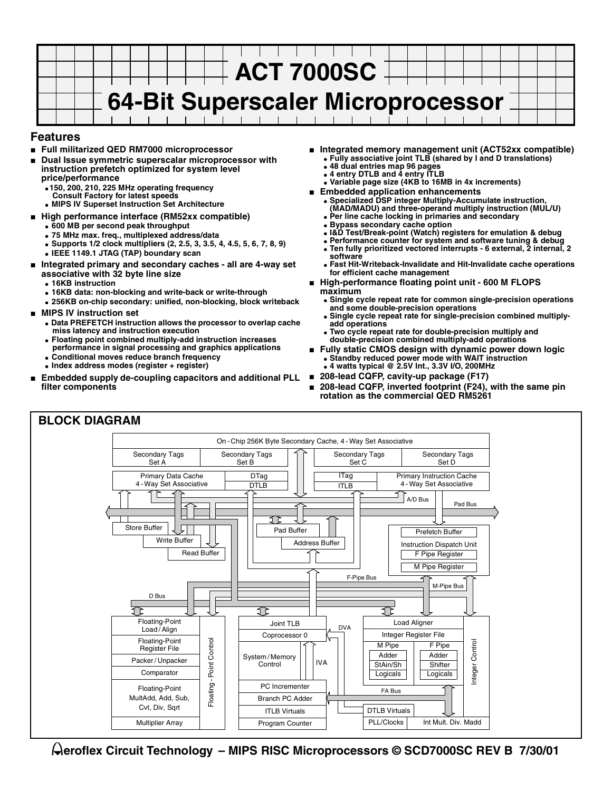

#### **Features**

- **Full militarized QED RM7000 microprocessor**
- **Dual Issue symmetric superscalar microprocessor with instruction prefetch optimized for system level price/performance**
	- **150, 200, 210, 225 MHz operating frequency Consult Factory for latest speeds**
	- **MIPS IV Superset Instruction Set Architecture**
- **High performance interface (RM52xx compatible)** 
	- **600 MB per second peak throughput**
	- **75 MHz max. freq., multiplexed address/data**
	- **Supports 1/2 clock multipliers (2, 2.5, 3, 3.5, 4, 4.5, 5, 6, 7, 8, 9)**
	- **IEEE 1149.1 JTAG (TAP) boundary scan**
- **Integrated primary and secondary caches all are 4-way set associative with 32 byte line size**
	- **16KB instruction**
	- **16KB data: non-blocking and write-back or write-through**
	- **256KB on-chip secondary: unified, non-blocking, block writeback**
- **MIPS IV instruction set**
	- **Data PREFETCH instruction allows the processor to overlap cache miss latency and instruction execution**
	- **Floating point combined multiply-add instruction increases performance in signal processing and graphics applications**
	- **Conditional moves reduce branch frequency**
	- **Index address modes (register + register)**
- **Embedded supply de-coupling capacitors and additional PLL filter components**
- **Integrated memory management unit (ACT52xx compatible)** ● **Fully associative joint TLB (shared by I and D translations)**
	- **48 dual entries map 96 pages**
	- **4 entry DTLB and 4 entry ITLB**
	- **Variable page size (4KB to 16MB in 4x increments)**
- **Embedded application enhancements** ● **Specialized DSP integer Multiply-Accumulate instruction,** 
	-
	- **(MAD/MADU) and three-operand multiply instruction (MUL/U) Per line cache locking in primaries and secondary**
	- **Bypass secondary cache option**
	- **I&D Test/Break-point (Watch) registers for emulation & debug**
	- Performance counter for system and software tuning & debug
	- **Ten fully prioritized vectored interrupts 6 external, 2 internal, 2 software**
- **Fast Hit-Writeback-Invalidate and Hit-Invalidate cache operations for efficient cache management**
- **High-performance floating point unit 600 M FLOPS maximum**
	- **Single cycle repeat rate for common single-precision operations and some double-precision operations**
	- Single cycle repeat rate for single-precision combined multiply**add operations**
	- **Two cycle repeat rate for double-precision multiply and double-precision combined multiply-add operations**
- **Fully static CMOS design with dynamic power down logic** ● **Standby reduced power mode with WAIT instruction** ● **4 watts typical @ 2.5V Int., 3.3V I/O, 200MHz**
- **208-lead CQFP, cavity-up package (F17)**
- 208-lead CQFP, inverted footprint (F24), with the same pin **rotation as the commercial QED RM5261**



**eroflex Circuit Technology – MIPS RISC Microprocessors © SCD7000SC REV B 7/30/01**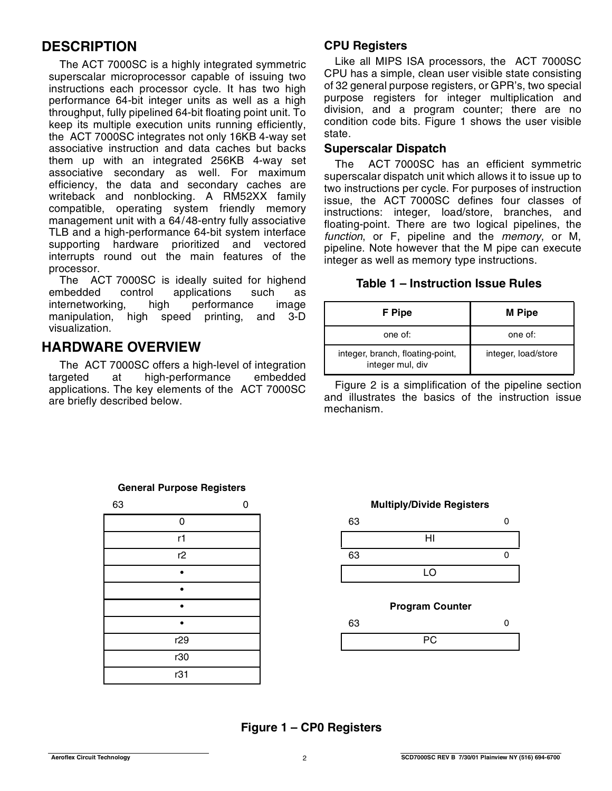# **DESCRIPTION**

The ACT 7000SC is a highly integrated symmetric superscalar microprocessor capable of issuing two instructions each processor cycle. It has two high performance 64-bit integer units as well as a high throughput, fully pipelined 64-bit floating point unit. To keep its multiple execution units running efficiently, the ACT 7000SC integrates not only 16KB 4-way set associative instruction and data caches but backs them up with an integrated 256KB 4-way set associative secondary as well. For maximum efficiency, the data and secondary caches are writeback and nonblocking. A RM52XX family compatible, operating system friendly memory management unit with a 64/48-entry fully associative TLB and a high-performance 64-bit system interface supporting hardware prioritized and vectored interrupts round out the main features of the processor.

The ACT 7000SC is ideally suited for highend embedded control applications such as<br>internetworking, high performance image internetworking, high performance image manipulation, high speed printing, and 3-D visualization.

# **HARDWARE OVERVIEW**

The ACT 7000SC offers a high-level of integration targeted at high-performance embedded applications. The key elements of the ACT 7000SC are briefly described below.

## **CPU Registers**

Like all MIPS ISA processors, the ACT 7000SC CPU has a simple, clean user visible state consisting of 32 general purpose registers, or GPR's, two special purpose registers for integer multiplication and division, and a program counter; there are no condition code bits. Figure 1 shows the user visible state.

#### **Superscalar Dispatch**

The ACT 7000SC has an efficient symmetric superscalar dispatch unit which allows it to issue up to two instructions per cycle. For purposes of instruction issue, the ACT 7000SC defines four classes of instructions: integer, load/store, branches, and floating-point. There are two logical pipelines, the function, or F, pipeline and the memory, or M, pipeline. Note however that the M pipe can execute integer as well as memory type instructions.

### **Table 1 – Instruction Issue Rules**

| F Pipe                                               | <b>M</b> Pipe       |
|------------------------------------------------------|---------------------|
| one of:                                              | one of:             |
| integer, branch, floating-point,<br>integer mul, div | integer, load/store |

Figure 2 is a simplification of the pipeline section and illustrates the basics of the instruction issue mechanism.

| 63 |     | r |
|----|-----|---|
|    | 0   |   |
|    | r1  |   |
|    | r2  |   |
|    |     |   |
|    |     |   |
|    |     |   |
|    |     |   |
|    | r29 |   |
|    | r30 |   |
|    | r31 |   |

#### **General Purpose Registers**



## **Figure 1 – CP0 Registers**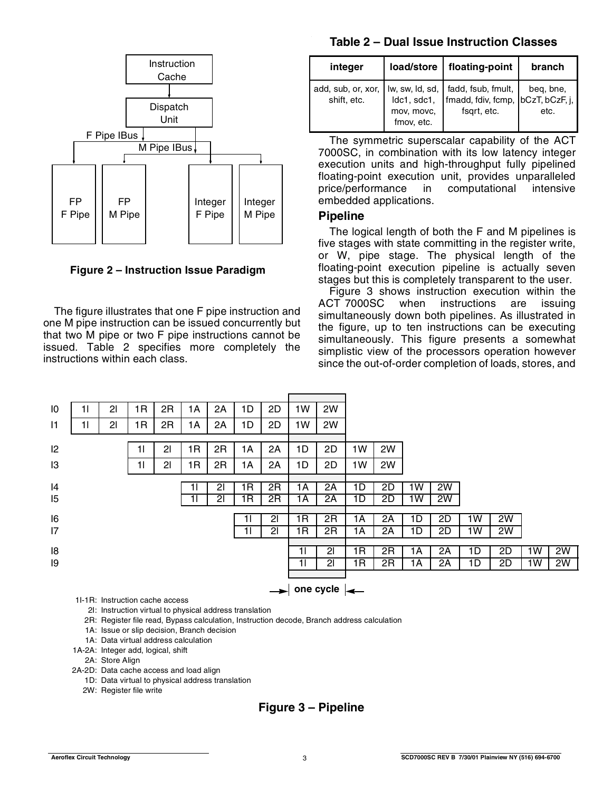

**Figure 2 – Instruction Issue Paradigm**

The figure illustrates that one F pipe instruction and one M pipe instruction can be issued concurrently but that two M pipe or two F pipe instructions cannot be issued. Table 2 specifies more completely the instructions within each class.

#### **Table 2 – Dual Issue Instruction Classes**

| integer                                                                | load/store                              | floating-point                                   | branch            |
|------------------------------------------------------------------------|-----------------------------------------|--------------------------------------------------|-------------------|
| add, sub, or, xor, Iw, sw, Id, sd, I fadd, fsub, fmult,<br>shift, etc. | Idc1, sdc1,<br>mov, movc,<br>fmov, etc. | fmadd, fdiv, fcmp, bCzT, bCzF, j,<br>fsgrt, etc. | beg, bne,<br>etc. |

The symmetric superscalar capability of the ACT 7000SC, in combination with its low latency integer execution units and high-throughput fully pipelined floating-point execution unit, provides unparalleled price/performance in computational intensive embedded applications.

#### **Pipeline**

The logical length of both the F and M pipelines is five stages with state committing in the register write, or W, pipe stage. The physical length of the floating-point execution pipeline is actually seven stages but this is completely transparent to the user.

Figure 3 shows instruction execution within the ACT 7000SC when instructions are issuing simultaneously down both pipelines. As illustrated in the figure, up to ten instructions can be executing simultaneously. This figure presents a somewhat simplistic view of the processors operation however since the out-of-order completion of loads, stores, and

| 10 | 11 | $\overline{2}$ | 1R | 2R | 1A | 2Α | 1D | 2D | 1W | 2W                                    |                 |    |    |    |    |    |    |    |
|----|----|----------------|----|----|----|----|----|----|----|---------------------------------------|-----------------|----|----|----|----|----|----|----|
| 1  | 11 | 2 <sub>l</sub> | 1R | 2R | 1A | 2A | 1D | 2D | 1W | 2W                                    |                 |    |    |    |    |    |    |    |
|    |    |                |    |    |    |    |    |    |    |                                       |                 |    |    |    |    |    |    |    |
| 2  |    |                | 11 | 21 | 1R | 2R | 1A | 2A | 1D | 2D                                    | 1W              | 2W |    |    |    |    |    |    |
| 13 |    |                | 11 | 21 | 1R | 2R | 1A | 2A | 1D | 2D                                    | 1W              | 2W |    |    |    |    |    |    |
|    |    |                |    |    |    |    |    |    |    |                                       |                 |    |    |    |    |    |    |    |
| 4  |    |                |    |    | 11 | 21 | 1R | 2R | 1A | 2A                                    | 1D              | 2D | 1W | 2W |    |    |    |    |
| 15 |    |                |    |    | 11 | 21 | 1R | 2R | 1A | 2A                                    | 1D              | 2D | 1W | 2W |    |    |    |    |
|    |    |                |    |    |    |    |    |    |    |                                       |                 |    |    |    |    |    |    |    |
| 6  |    |                |    |    |    |    | 11 | 21 | 1R | 2R                                    | 1А              | 2A | 1D | 2D | 1W | 2W |    |    |
| 7  |    |                |    |    |    |    | 11 | 21 | 1R | 2R                                    | 1А              | 2A | 1D | 2D | 1W | 2W |    |    |
|    |    |                |    |    |    |    |    |    |    |                                       |                 |    |    |    |    |    |    |    |
| 8  |    |                |    |    |    |    |    |    | 11 | 21                                    | $1\overline{R}$ | 2R | 1А | 2A | 1D | 2D | 1W | 2W |
| 19 |    |                |    |    |    |    |    |    | 11 | 21                                    | $1\overline{R}$ | 2R | 1А | 2A | 1D | 2D | 1W | 2W |
|    |    |                |    |    |    |    |    |    |    |                                       |                 |    |    |    |    |    |    |    |
|    |    |                |    |    |    |    |    |    |    | $\rightarrow$ one cycle $\rightarrow$ |                 |    |    |    |    |    |    |    |

1I-1R: Instruction cache access

2I: Instruction virtual to physical address translation

2R: Register file read, Bypass calculation, Instruction decode, Branch address calculation

1A: Issue or slip decision, Branch decision

1A: Data virtual address calculation

1A-2A: Integer add, logical, shift

2A: Store Align

2A-2D: Data cache access and load align

1D: Data virtual to physical address translation

2W: Register file write

## **Figure 3 – Pipeline**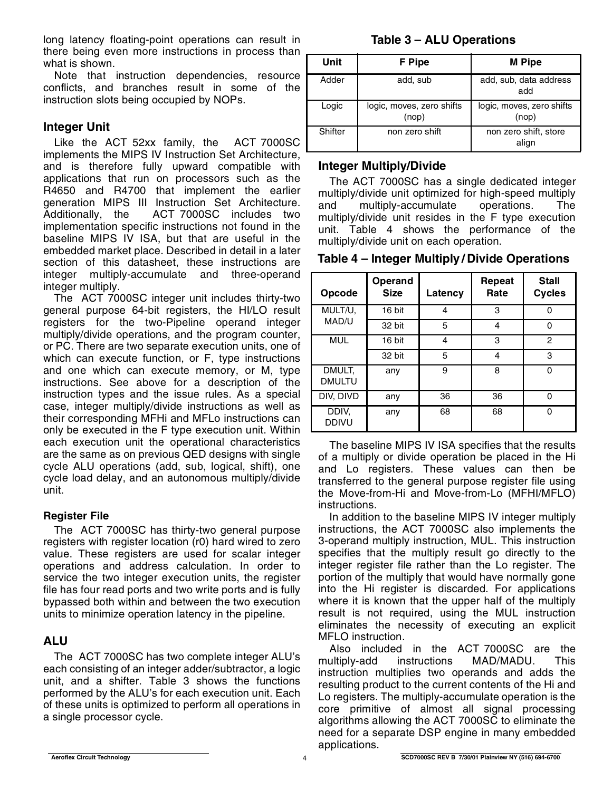long latency floating-point operations can result in there being even more instructions in process than what is shown.

Note that instruction dependencies, resource conflicts, and branches result in some of the instruction slots being occupied by NOPs.

### **Integer Unit**

Like the ACT 52xx family, the ACT 7000SC implements the MIPS IV Instruction Set Architecture, and is therefore fully upward compatible with applications that run on processors such as the R4650 and R4700 that implement the earlier generation MIPS III Instruction Set Architecture. Additionally, the ACT 7000SC includes two implementation specific instructions not found in the baseline MIPS IV ISA, but that are useful in the embedded market place. Described in detail in a later section of this datasheet, these instructions are integer multiply-accumulate and three-operand integer multiply.

The ACT 7000SC integer unit includes thirty-two general purpose 64-bit registers, the HI/LO result registers for the two-Pipeline operand integer multiply/divide operations, and the program counter, or PC. There are two separate execution units, one of which can execute function, or F, type instructions and one which can execute memory, or M, type instructions. See above for a description of the instruction types and the issue rules. As a special case, integer multiply/divide instructions as well as their corresponding MFHi and MFLo instructions can only be executed in the F type execution unit. Within each execution unit the operational characteristics are the same as on previous QED designs with single cycle ALU operations (add, sub, logical, shift), one cycle load delay, and an autonomous multiply/divide unit.

#### **Register File**

The ACT 7000SC has thirty-two general purpose registers with register location (r0) hard wired to zero value. These registers are used for scalar integer operations and address calculation. In order to service the two integer execution units, the register file has four read ports and two write ports and is fully bypassed both within and between the two execution units to minimize operation latency in the pipeline.

## **ALU**

The ACT 7000SC has two complete integer ALU's each consisting of an integer adder/subtractor, a logic unit, and a shifter. Table 3 shows the functions performed by the ALU's for each execution unit. Each of these units is optimized to perform all operations in a single processor cycle.

## **Table 3 – ALU Operations**

| Unit    | F Pipe                             | <b>M</b> Pipe                      |
|---------|------------------------------------|------------------------------------|
| Adder   | add, sub                           | add, sub, data address<br>add      |
| Logic   | logic, moves, zero shifts<br>(nop) | logic, moves, zero shifts<br>(nop) |
| Shifter | non zero shift                     | non zero shift, store<br>align     |

### **Integer Multiply/Divide**

The ACT 7000SC has a single dedicated integer multiply/divide unit optimized for high-speed multiply and multiply-accumulate operations. The multiply/divide unit resides in the F type execution unit. Table 4 shows the performance of the multiply/divide unit on each operation.

| Opcode                  | Operand<br><b>Size</b> | Latency | Repeat<br>Rate | <b>Stall</b><br><b>Cycles</b> |
|-------------------------|------------------------|---------|----------------|-------------------------------|
| MULT/U,                 | 16 bit                 | 4       | 3              | ∩                             |
| MAD/U                   | 32 bit                 | 5       | 4              | ∩                             |
| <b>MUL</b>              | 16 bit                 | 4       | 3              | 2                             |
|                         | 32 bit                 | 5       | 4              | 3                             |
| DMULT,<br><b>DMULTU</b> | any                    | 9       | 8              | O                             |
| DIV, DIVD               | any                    | 36      | 36             |                               |
| DDIV,<br><b>DDIVU</b>   | any                    | 68      | 68             |                               |

The baseline MIPS IV ISA specifies that the results of a multiply or divide operation be placed in the Hi and Lo registers. These values can then be transferred to the general purpose register file using the Move-from-Hi and Move-from-Lo (MFHI/MFLO) instructions.

In addition to the baseline MIPS IV integer multiply instructions, the ACT 7000SC also implements the 3-operand multiply instruction, MUL. This instruction specifies that the multiply result go directly to the integer register file rather than the Lo register. The portion of the multiply that would have normally gone into the Hi register is discarded. For applications where it is known that the upper half of the multiply result is not required, using the MUL instruction eliminates the necessity of executing an explicit MFLO instruction.

Also included in the ACT 7000SC are the multiply-add instructions MAD/MADU. This instruction multiplies two operands and adds the resulting product to the current contents of the Hi and Lo registers. The multiply-accumulate operation is the core primitive of almost all signal processing algorithms allowing the ACT 7000SC to eliminate the need for a separate DSP engine in many embedded applications.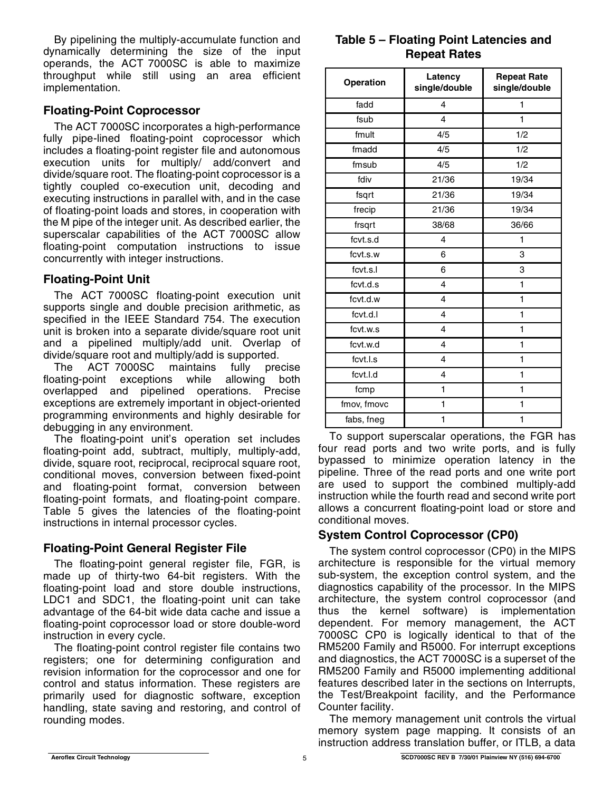By pipelining the multiply-accumulate function and dynamically determining the size of the input operands, the ACT 7000SC is able to maximize throughput while still using an area efficient implementation.

## **Floating-Point Coprocessor**

The ACT 7000SC incorporates a high-performance fully pipe-lined floating-point coprocessor which includes a floating-point register file and autonomous execution units for multiply/ add/convert and divide/square root. The floating-point coprocessor is a tightly coupled co-execution unit, decoding and executing instructions in parallel with, and in the case of floating-point loads and stores, in cooperation with the M pipe of the integer unit. As described earlier, the superscalar capabilities of the ACT 7000SC allow floating-point computation instructions to issue concurrently with integer instructions.

## **Floating-Point Unit**

The ACT 7000SC floating-point execution unit supports single and double precision arithmetic, as specified in the IEEE Standard 754. The execution unit is broken into a separate divide/square root unit and a pipelined multiply/add unit. Overlap of divide/square root and multiply/add is supported.

The ACT 7000SC maintains fully precise floating-point exceptions while allowing both overlapped and pipelined operations. Precise exceptions are extremely important in object-oriented programming environments and highly desirable for debugging in any environment.

The floating-point unit's operation set includes floating-point add, subtract, multiply, multiply-add, divide, square root, reciprocal, reciprocal square root, conditional moves, conversion between fixed-point and floating-point format, conversion between floating-point formats, and floating-point compare. Table 5 gives the latencies of the floating-point instructions in internal processor cycles.

## **Floating-Point General Register File**

The floating-point general register file, FGR, is made up of thirty-two 64-bit registers. With the floating-point load and store double instructions, LDC1 and SDC1, the floating-point unit can take advantage of the 64-bit wide data cache and issue a floating-point coprocessor load or store double-word instruction in every cycle.

The floating-point control register file contains two registers; one for determining configuration and revision information for the coprocessor and one for control and status information. These registers are primarily used for diagnostic software, exception handling, state saving and restoring, and control of rounding modes.

## **Table 5 – Floating Point Latencies and Repeat Rates**

| Operation   | Latency<br>single/double | <b>Repeat Rate</b><br>single/double |
|-------------|--------------------------|-------------------------------------|
| fadd        | 4                        | 1                                   |
| fsub        | 4                        | 1                                   |
| fmult       | 4/5                      | 1/2                                 |
| fmadd       | 4/5                      | 1/2                                 |
| fmsub       | 4/5                      | 1/2                                 |
| fdiv        | 21/36                    | 19/34                               |
| fsqrt       | 21/36                    | 19/34                               |
| frecip      | 21/36                    | 19/34                               |
| frsqrt      | 38/68                    | 36/66                               |
| fcvt.s.d    | 4                        | 1                                   |
| fcvt.s.w    | 6                        | 3                                   |
| fcvt.s.l    | 6                        | 3                                   |
| fcvt.d.s    | 4                        | 1                                   |
| fcvt.d.w    | 4                        | 1                                   |
| fcvt.d.l    | 4                        | 1                                   |
| fcvt.w.s    | 4                        | 1                                   |
| fcvt.w.d    | 4                        | 1                                   |
| fcvt.l.s    | 4                        | 1                                   |
| fcvt.l.d    | 4                        | 1                                   |
| fcmp        | 1                        | 1                                   |
| fmov, fmovc | 1                        | 1                                   |
| fabs, fneg  | 1                        | 1                                   |

To support superscalar operations, the FGR has four read ports and two write ports, and is fully bypassed to minimize operation latency in the pipeline. Three of the read ports and one write port are used to support the combined multiply-add instruction while the fourth read and second write port allows a concurrent floating-point load or store and conditional moves.

## **System Control Coprocessor (CP0)**

The system control coprocessor (CP0) in the MIPS architecture is responsible for the virtual memory sub-system, the exception control system, and the diagnostics capability of the processor. In the MIPS architecture, the system control coprocessor (and thus the kernel software) is implementation dependent. For memory management, the ACT 7000SC CP0 is logically identical to that of the RM5200 Family and R5000. For interrupt exceptions and diagnostics, the ACT 7000SC is a superset of the RM5200 Family and R5000 implementing additional features described later in the sections on Interrupts, the Test/Breakpoint facility, and the Performance Counter facility.

The memory management unit controls the virtual memory system page mapping. It consists of an instruction address translation buffer, or ITLB, a data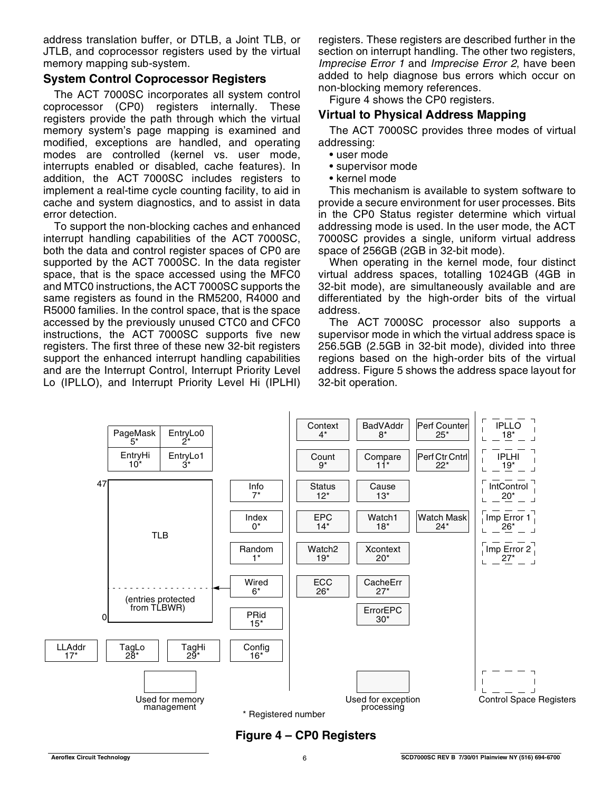address translation buffer, or DTLB, a Joint TLB, or JTLB, and coprocessor registers used by the virtual memory mapping sub-system.

#### **System Control Coprocessor Registers**

The ACT 7000SC incorporates all system control coprocessor (CP0) registers internally. These registers provide the path through which the virtual memory system's page mapping is examined and modified, exceptions are handled, and operating modes are controlled (kernel vs. user mode, interrupts enabled or disabled, cache features). In addition, the ACT 7000SC includes registers to implement a real-time cycle counting facility, to aid in cache and system diagnostics, and to assist in data error detection.

To support the non-blocking caches and enhanced interrupt handling capabilities of the ACT 7000SC, both the data and control register spaces of CP0 are supported by the ACT 7000SC. In the data register space, that is the space accessed using the MFC0 and MTC0 instructions, the ACT 7000SC supports the same registers as found in the RM5200, R4000 and R5000 families. In the control space, that is the space accessed by the previously unused CTC0 and CFC0 instructions, the ACT 7000SC supports five new registers. The first three of these new 32-bit registers support the enhanced interrupt handling capabilities and are the Interrupt Control, Interrupt Priority Level Lo (IPLLO), and Interrupt Priority Level Hi (IPLHI) registers. These registers are described further in the section on interrupt handling. The other two registers, Imprecise Error 1 and Imprecise Error 2, have been added to help diagnose bus errors which occur on non-blocking memory references.

Figure 4 shows the CP0 registers.

#### **Virtual to Physical Address Mapping**

The ACT 7000SC provides three modes of virtual addressing:

- user mode
- supervisor mode
- kernel mode

This mechanism is available to system software to provide a secure environment for user processes. Bits in the CP0 Status register determine which virtual addressing mode is used. In the user mode, the ACT 7000SC provides a single, uniform virtual address space of 256GB (2GB in 32-bit mode).

When operating in the kernel mode, four distinct virtual address spaces, totalling 1024GB (4GB in 32-bit mode), are simultaneously available and are differentiated by the high-order bits of the virtual address.

The ACT 7000SC processor also supports a supervisor mode in which the virtual address space is 256.5GB (2.5GB in 32-bit mode), divided into three regions based on the high-order bits of the virtual address. Figure 5 shows the address space layout for 32-bit operation.



## **Figure 4 – CP0 Registers**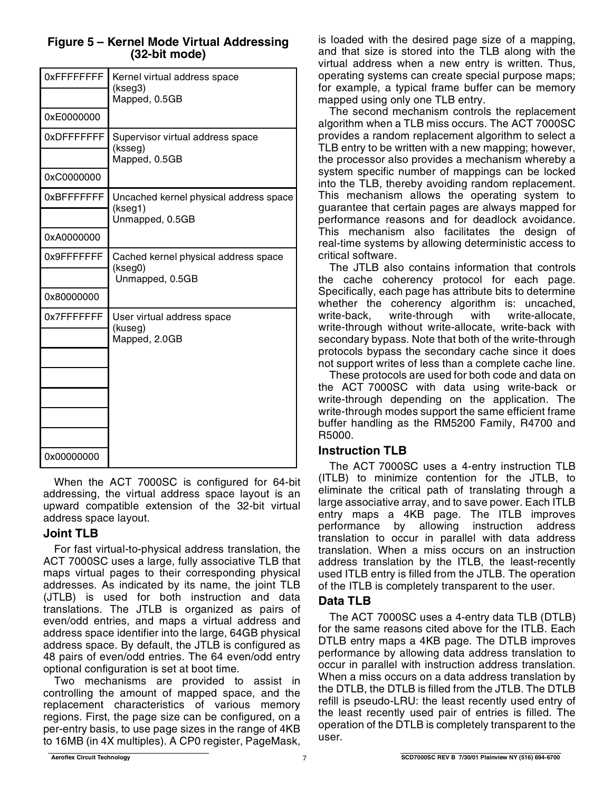### **Figure 5 – Kernel Mode Virtual Addressing (32-bit mode)**

| 0xFFFFFFFF  | Kernel virtual address space<br>(kseg3)<br>Mapped, 0.5GB |
|-------------|----------------------------------------------------------|
| 0xE0000000  |                                                          |
| 0xDFFFFFFF  | Supervisor virtual address space<br>(ksseg)              |
|             | Mapped, 0.5GB                                            |
| 0xC0000000  |                                                          |
| 0xBFFFFFFFF | Uncached kernel physical address space<br>(kseg1)        |
|             | Unmapped, 0.5GB                                          |
| 0xA0000000  |                                                          |
| 0x9FFFFFFFF | Cached kernel physical address space<br>(kseg0)          |
|             | Unmapped, 0.5GB                                          |
| 0x80000000  |                                                          |
| 0x7FFFFFFFF | User virtual address space<br>(kuseg)                    |
|             | Mapped, 2.0GB                                            |
|             |                                                          |
|             |                                                          |
|             |                                                          |
|             |                                                          |
|             |                                                          |
| 0x00000000  |                                                          |

When the ACT 7000SC is configured for 64-bit addressing, the virtual address space layout is an upward compatible extension of the 32-bit virtual address space layout.

## **Joint TLB**

For fast virtual-to-physical address translation, the ACT 7000SC uses a large, fully associative TLB that maps virtual pages to their corresponding physical addresses. As indicated by its name, the joint TLB (JTLB) is used for both instruction and data translations. The JTLB is organized as pairs of even/odd entries, and maps a virtual address and address space identifier into the large, 64GB physical address space. By default, the JTLB is configured as 48 pairs of even/odd entries. The 64 even/odd entry optional configuration is set at boot time.

Two mechanisms are provided to assist in controlling the amount of mapped space, and the replacement characteristics of various memory regions. First, the page size can be configured, on a per-entry basis, to use page sizes in the range of 4KB to 16MB (in 4X multiples). A CP0 register, PageMask,

is loaded with the desired page size of a mapping, and that size is stored into the TLB along with the virtual address when a new entry is written. Thus, operating systems can create special purpose maps; for example, a typical frame buffer can be memory mapped using only one TLB entry.

The second mechanism controls the replacement algorithm when a TLB miss occurs. The ACT 7000SC provides a random replacement algorithm to select a TLB entry to be written with a new mapping; however, the processor also provides a mechanism whereby a system specific number of mappings can be locked into the TLB, thereby avoiding random replacement. This mechanism allows the operating system to guarantee that certain pages are always mapped for performance reasons and for deadlock avoidance. This mechanism also facilitates the design of real-time systems by allowing deterministic access to critical software.

The JTLB also contains information that controls the cache coherency protocol for each page. Specifically, each page has attribute bits to determine whether the coherency algorithm is: uncached, write-back, write-through with write-allocate, write-through without write-allocate, write-back with secondary bypass. Note that both of the write-through protocols bypass the secondary cache since it does not support writes of less than a complete cache line.

These protocols are used for both code and data on the ACT 7000SC with data using write-back or write-through depending on the application. The write-through modes support the same efficient frame buffer handling as the RM5200 Family, R4700 and R5000.

## **Instruction TLB**

The ACT 7000SC uses a 4-entry instruction TLB (ITLB) to minimize contention for the JTLB, to eliminate the critical path of translating through a large associative array, and to save power. Each ITLB entry maps a 4KB page. The ITLB improves performance by allowing instruction address translation to occur in parallel with data address translation. When a miss occurs on an instruction address translation by the ITLB, the least-recently used ITLB entry is filled from the JTLB. The operation of the ITLB is completely transparent to the user.

## **Data TLB**

The ACT 7000SC uses a 4-entry data TLB (DTLB) for the same reasons cited above for the ITLB. Each DTLB entry maps a 4KB page. The DTLB improves performance by allowing data address translation to occur in parallel with instruction address translation. When a miss occurs on a data address translation by the DTLB, the DTLB is filled from the JTLB. The DTLB refill is pseudo-LRU: the least recently used entry of the least recently used pair of entries is filled. The operation of the DTLB is completely transparent to the user.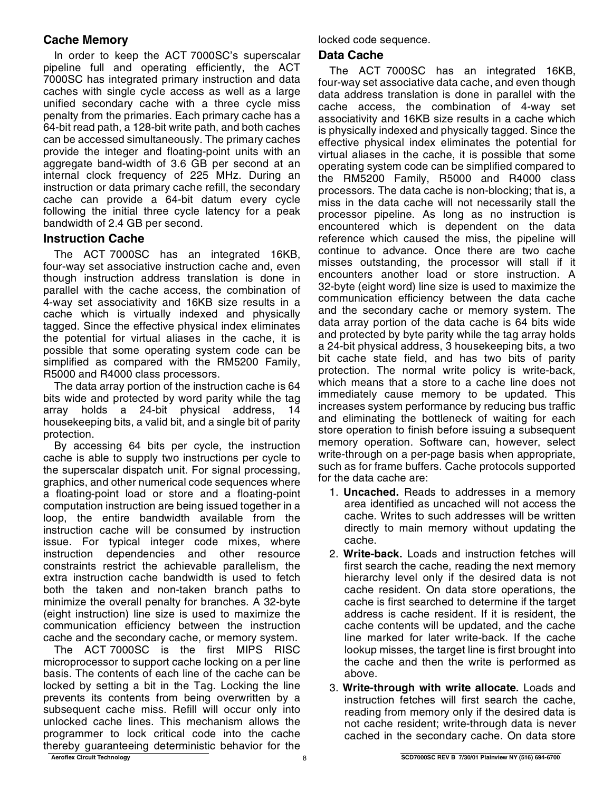## **Cache Memory**

In order to keep the ACT 7000SC's superscalar pipeline full and operating efficiently, the ACT 7000SC has integrated primary instruction and data caches with single cycle access as well as a large unified secondary cache with a three cycle miss penalty from the primaries. Each primary cache has a 64-bit read path, a 128-bit write path, and both caches can be accessed simultaneously. The primary caches provide the integer and floating-point units with an aggregate band-width of 3.6 GB per second at an internal clock frequency of 225 MHz. During an instruction or data primary cache refill, the secondary cache can provide a 64-bit datum every cycle following the initial three cycle latency for a peak bandwidth of 2.4 GB per second.

#### **Instruction Cache**

The ACT 7000SC has an integrated 16KB, four-way set associative instruction cache and, even though instruction address translation is done in parallel with the cache access, the combination of 4-way set associativity and 16KB size results in a cache which is virtually indexed and physically tagged. Since the effective physical index eliminates the potential for virtual aliases in the cache, it is possible that some operating system code can be simplified as compared with the RM5200 Family, R5000 and R4000 class processors.

The data array portion of the instruction cache is 64 bits wide and protected by word parity while the tag array holds a 24-bit physical address, 14 housekeeping bits, a valid bit, and a single bit of parity protection.

By accessing 64 bits per cycle, the instruction cache is able to supply two instructions per cycle to the superscalar dispatch unit. For signal processing, graphics, and other numerical code sequences where a floating-point load or store and a floating-point computation instruction are being issued together in a loop, the entire bandwidth available from the instruction cache will be consumed by instruction issue. For typical integer code mixes, where instruction dependencies and other resource constraints restrict the achievable parallelism, the extra instruction cache bandwidth is used to fetch both the taken and non-taken branch paths to minimize the overall penalty for branches. A 32-byte (eight instruction) line size is used to maximize the communication efficiency between the instruction cache and the secondary cache, or memory system.

The ACT 7000SC is the first MIPS RISC microprocessor to support cache locking on a per line basis. The contents of each line of the cache can be locked by setting a bit in the Tag. Locking the line prevents its contents from being overwritten by a subsequent cache miss. Refill will occur only into unlocked cache lines. This mechanism allows the programmer to lock critical code into the cache thereby guaranteeing deterministic behavior for the locked code sequence.

#### **Data Cache**

The ACT 7000SC has an integrated 16KB, four-way set associative data cache, and even though data address translation is done in parallel with the cache access, the combination of 4-way set associativity and 16KB size results in a cache which is physically indexed and physically tagged. Since the effective physical index eliminates the potential for virtual aliases in the cache, it is possible that some operating system code can be simplified compared to the RM5200 Family, R5000 and R4000 class processors. The data cache is non-blocking; that is, a miss in the data cache will not necessarily stall the processor pipeline. As long as no instruction is encountered which is dependent on the data reference which caused the miss, the pipeline will continue to advance. Once there are two cache misses outstanding, the processor will stall if it encounters another load or store instruction. A 32-byte (eight word) line size is used to maximize the communication efficiency between the data cache and the secondary cache or memory system. The data array portion of the data cache is 64 bits wide and protected by byte parity while the tag array holds a 24-bit physical address, 3 housekeeping bits, a two bit cache state field, and has two bits of parity protection. The normal write policy is write-back, which means that a store to a cache line does not immediately cause memory to be updated. This increases system performance by reducing bus traffic and eliminating the bottleneck of waiting for each store operation to finish before issuing a subsequent memory operation. Software can, however, select write-through on a per-page basis when appropriate, such as for frame buffers. Cache protocols supported for the data cache are:

- 1. **Uncached.** Reads to addresses in a memory area identified as uncached will not access the cache. Writes to such addresses will be written directly to main memory without updating the cache.
- 2. **Write-back.** Loads and instruction fetches will first search the cache, reading the next memory hierarchy level only if the desired data is not cache resident. On data store operations, the cache is first searched to determine if the target address is cache resident. If it is resident, the cache contents will be updated, and the cache line marked for later write-back. If the cache lookup misses, the target line is first brought into the cache and then the write is performed as above.
- 3. **Write-through with write allocate.** Loads and instruction fetches will first search the cache, reading from memory only if the desired data is not cache resident; write-through data is never cached in the secondary cache. On data store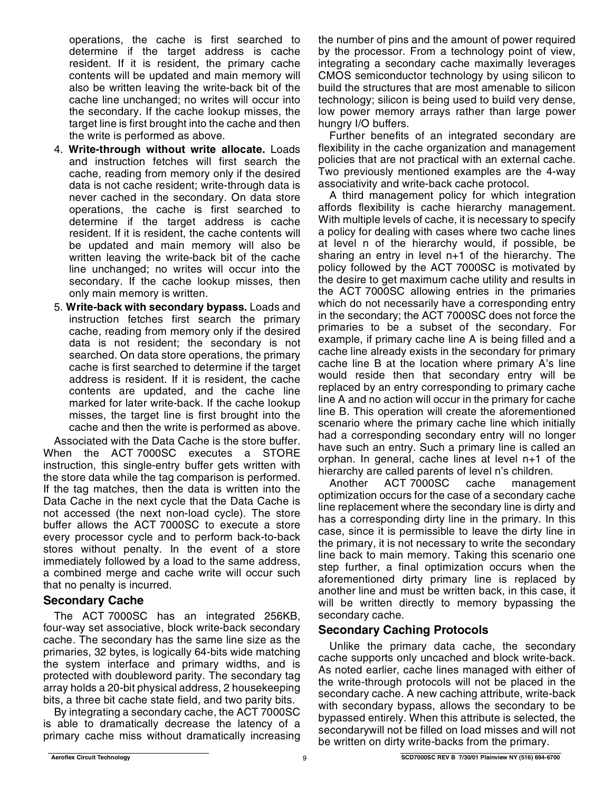operations, the cache is first searched to determine if the target address is cache resident. If it is resident, the primary cache contents will be updated and main memory will also be written leaving the write-back bit of the cache line unchanged; no writes will occur into the secondary. If the cache lookup misses, the target line is first brought into the cache and then the write is performed as above.

- 4. **Write-through without write allocate.** Loads and instruction fetches will first search the cache, reading from memory only if the desired data is not cache resident; write-through data is never cached in the secondary. On data store operations, the cache is first searched to determine if the target address is cache resident. If it is resident, the cache contents will be updated and main memory will also be written leaving the write-back bit of the cache line unchanged; no writes will occur into the secondary. If the cache lookup misses, then only main memory is written.
- 5. **Write-back with secondary bypass.** Loads and instruction fetches first search the primary cache, reading from memory only if the desired data is not resident; the secondary is not searched. On data store operations, the primary cache is first searched to determine if the target address is resident. If it is resident, the cache contents are updated, and the cache line marked for later write-back. If the cache lookup misses, the target line is first brought into the cache and then the write is performed as above.

Associated with the Data Cache is the store buffer. When the ACT 7000SC executes a STORE instruction, this single-entry buffer gets written with the store data while the tag comparison is performed. If the tag matches, then the data is written into the Data Cache in the next cycle that the Data Cache is not accessed (the next non-load cycle). The store buffer allows the ACT 7000SC to execute a store every processor cycle and to perform back-to-back stores without penalty. In the event of a store immediately followed by a load to the same address, a combined merge and cache write will occur such that no penalty is incurred.

#### **Secondary Cache**

The ACT 7000SC has an integrated 256KB, four-way set associative, block write-back secondary cache. The secondary has the same line size as the primaries, 32 bytes, is logically 64-bits wide matching the system interface and primary widths, and is protected with doubleword parity. The secondary tag array holds a 20-bit physical address, 2 housekeeping bits, a three bit cache state field, and two parity bits.

By integrating a secondary cache, the ACT 7000SC is able to dramatically decrease the latency of a primary cache miss without dramatically increasing the number of pins and the amount of power required by the processor. From a technology point of view, integrating a secondary cache maximally leverages CMOS semiconductor technology by using silicon to build the structures that are most amenable to silicon technology; silicon is being used to build very dense, low power memory arrays rather than large power hungry I/O buffers.

Further benefits of an integrated secondary are flexibility in the cache organization and management policies that are not practical with an external cache. Two previously mentioned examples are the 4-way associativity and write-back cache protocol.

A third management policy for which integration affords flexibility is cache hierarchy management. With multiple levels of cache, it is necessary to specify a policy for dealing with cases where two cache lines at level n of the hierarchy would, if possible, be sharing an entry in level n+1 of the hierarchy. The policy followed by the ACT 7000SC is motivated by the desire to get maximum cache utility and results in the ACT 7000SC allowing entries in the primaries which do not necessarily have a corresponding entry in the secondary; the ACT 7000SC does not force the primaries to be a subset of the secondary. For example, if primary cache line A is being filled and a cache line already exists in the secondary for primary cache line B at the location where primary A's line would reside then that secondary entry will be replaced by an entry corresponding to primary cache line A and no action will occur in the primary for cache line B. This operation will create the aforementioned scenario where the primary cache line which initially had a corresponding secondary entry will no longer have such an entry. Such a primary line is called an orphan. In general, cache lines at level n+1 of the hierarchy are called parents of level n's children.

Another ACT 7000SC cache management optimization occurs for the case of a secondary cache line replacement where the secondary line is dirty and has a corresponding dirty line in the primary. In this case, since it is permissible to leave the dirty line in the primary, it is not necessary to write the secondary line back to main memory. Taking this scenario one step further, a final optimization occurs when the aforementioned dirty primary line is replaced by another line and must be written back, in this case, it will be written directly to memory bypassing the secondary cache.

## **Secondary Caching Protocols**

Unlike the primary data cache, the secondary cache supports only uncached and block write-back. As noted earlier, cache lines managed with either of the write-through protocols will not be placed in the secondary cache. A new caching attribute, write-back with secondary bypass, allows the secondary to be bypassed entirely. When this attribute is selected, the secondarywill not be filled on load misses and will not be written on dirty write-backs from the primary.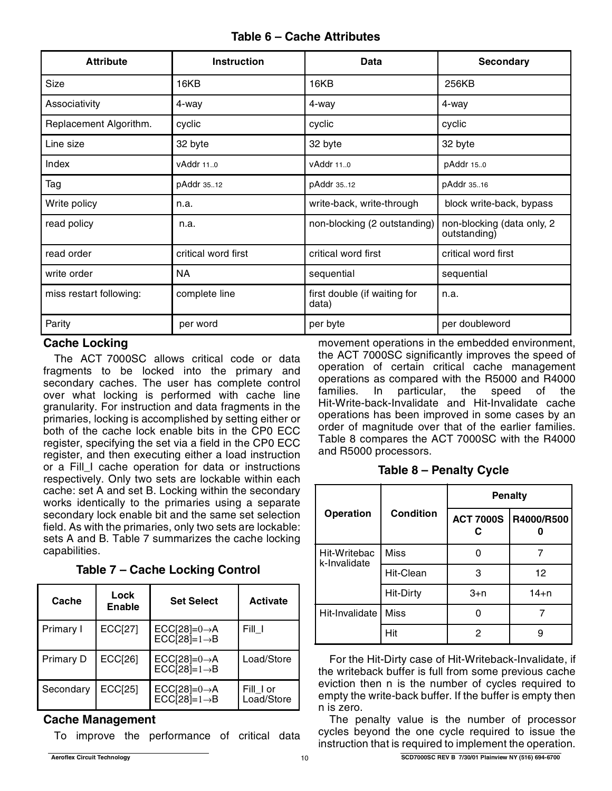## **Table 6 – Cache Attributes**

| <b>Attribute</b>        | <b>Instruction</b>  | Data                                  | <b>Secondary</b>                           |
|-------------------------|---------------------|---------------------------------------|--------------------------------------------|
| Size                    | 16KB                | 16KB                                  | 256KB                                      |
| Associativity           | 4-way               | 4-way                                 | 4-way                                      |
| Replacement Algorithm.  | cyclic              | cyclic                                | cyclic                                     |
| Line size               | 32 byte             | 32 byte                               | 32 byte                                    |
| Index                   | vAddr 11.0          | vAddr 11.0                            | pAddr 15.0                                 |
| Tag                     | pAddr 3512          | pAddr 3512                            | pAddr 3516                                 |
| Write policy            | n.a.                | write-back, write-through             | block write-back, bypass                   |
| read policy             | n.a.                | non-blocking (2 outstanding)          | non-blocking (data only, 2<br>outstanding) |
| read order              | critical word first | critical word first                   | critical word first                        |
| write order             | <b>NA</b>           | sequential                            | sequential                                 |
| miss restart following: | complete line       | first double (if waiting for<br>data) | n.a.                                       |
| Parity                  | per word            | per byte                              | per doubleword                             |

#### **Cache Locking**

The ACT 7000SC allows critical code or data fragments to be locked into the primary and secondary caches. The user has complete control over what locking is performed with cache line granularity. For instruction and data fragments in the primaries, locking is accomplished by setting either or both of the cache lock enable bits in the CP0 ECC register, specifying the set via a field in the CP0 ECC register, and then executing either a load instruction or a Fill\_I cache operation for data or instructions respectively. Only two sets are lockable within each cache: set A and set B. Locking within the secondary works identically to the primaries using a separate secondary lock enable bit and the same set selection field. As with the primaries, only two sets are lockable: sets A and B. Table 7 summarizes the cache locking capabilities.

| Cache            | Lock<br><b>Enable</b> | <b>Set Select</b>                                    | <b>Activate</b>         |
|------------------|-----------------------|------------------------------------------------------|-------------------------|
| Primary I        | <b>ECC[27]</b>        | $ECC[28]=0\rightarrow A$<br>$ECCI28=1 \rightarrow B$ | Fill T                  |
| <b>Primary D</b> | <b>ECC[26]</b>        | $ECC[28]=0\rightarrow A$<br>$ECCI28=1 \rightarrow B$ | Load/Store              |
| Secondary        | <b>ECC[25]</b>        | $ECC[28]=0\rightarrow A$<br>$ECC[28]=1\rightarrow B$ | Fill I or<br>Load/Store |

#### **Cache Management**

To improve the performance of critical data

movement operations in the embedded environment, the ACT 7000SC significantly improves the speed of operation of certain critical cache management operations as compared with the R5000 and R4000 families. In particular, the speed of the Hit-Write-back-Invalidate and Hit-Invalidate cache operations has been improved in some cases by an order of magnitude over that of the earlier families. Table 8 compares the ACT 7000SC with the R4000 and R5000 processors.

**Table 8 – Penalty Cycle**

|                              |                  |                  | <b>Penalty</b> |
|------------------------------|------------------|------------------|----------------|
| <b>Operation</b>             | <b>Condition</b> | <b>ACT 7000S</b> | R4000/R500     |
| Hit-Writebac<br>k-Invalidate | <b>Miss</b>      |                  |                |
|                              | Hit-Clean        | з                | 12             |
|                              | <b>Hit-Dirty</b> | $3+n$            | $14 + n$       |
| Hit-Invalidate               | <b>Miss</b>      |                  |                |
|                              | Hit              | 2                |                |

For the Hit-Dirty case of Hit-Writeback-Invalidate, if the writeback buffer is full from some previous cache eviction then n is the number of cycles required to empty the write-back buffer. If the buffer is empty then n is zero.

The penalty value is the number of processor cycles beyond the one cycle required to issue the instruction that is required to implement the operation.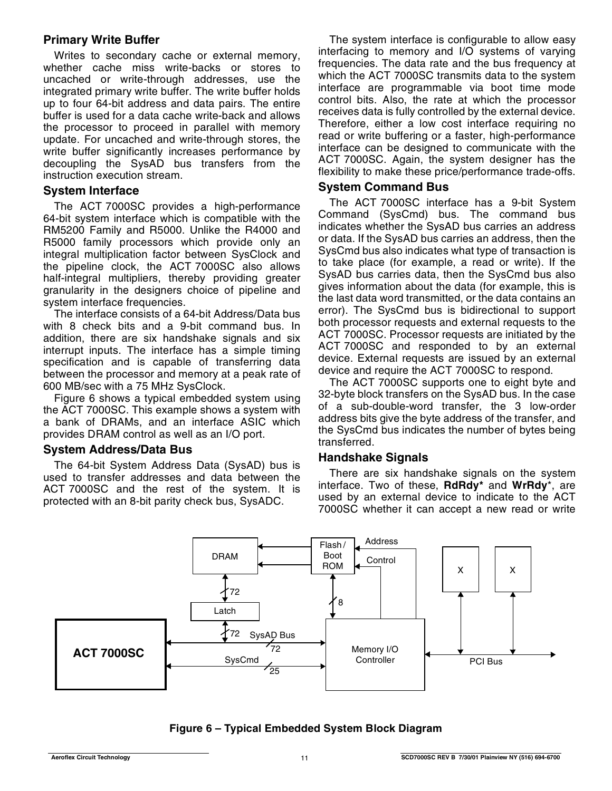#### **Primary Write Buffer**

Writes to secondary cache or external memory, whether cache miss write-backs or stores to uncached or write-through addresses, use the integrated primary write buffer. The write buffer holds up to four 64-bit address and data pairs. The entire buffer is used for a data cache write-back and allows the processor to proceed in parallel with memory update. For uncached and write-through stores, the write buffer significantly increases performance by decoupling the SysAD bus transfers from the instruction execution stream.

#### **System Interface**

The ACT 7000SC provides a high-performance 64-bit system interface which is compatible with the RM5200 Family and R5000. Unlike the R4000 and R5000 family processors which provide only an integral multiplication factor between SysClock and the pipeline clock, the ACT 7000SC also allows half-integral multipliers, thereby providing greater granularity in the designers choice of pipeline and system interface frequencies.

The interface consists of a 64-bit Address/Data bus with 8 check bits and a 9-bit command bus. In addition, there are six handshake signals and six interrupt inputs. The interface has a simple timing specification and is capable of transferring data between the processor and memory at a peak rate of 600 MB/sec with a 75 MHz SysClock.

Figure 6 shows a typical embedded system using the ACT 7000SC. This example shows a system with a bank of DRAMs, and an interface ASIC which provides DRAM control as well as an I/O port.

#### **System Address/Data Bus**

The 64-bit System Address Data (SysAD) bus is used to transfer addresses and data between the ACT 7000SC and the rest of the system. It is protected with an 8-bit parity check bus, SysADC.

The system interface is configurable to allow easy interfacing to memory and I/O systems of varying frequencies. The data rate and the bus frequency at which the ACT 7000SC transmits data to the system interface are programmable via boot time mode control bits. Also, the rate at which the processor receives data is fully controlled by the external device. Therefore, either a low cost interface requiring no read or write buffering or a faster, high-performance interface can be designed to communicate with the ACT 7000SC. Again, the system designer has the flexibility to make these price/performance trade-offs.

#### **System Command Bus**

The ACT 7000SC interface has a 9-bit System Command (SysCmd) bus. The command bus indicates whether the SysAD bus carries an address or data. If the SysAD bus carries an address, then the SysCmd bus also indicates what type of transaction is to take place (for example, a read or write). If the SysAD bus carries data, then the SysCmd bus also gives information about the data (for example, this is the last data word transmitted, or the data contains an error). The SysCmd bus is bidirectional to support both processor requests and external requests to the ACT 7000SC. Processor requests are initiated by the ACT 7000SC and responded to by an external device. External requests are issued by an external device and require the ACT 7000SC to respond.

The ACT 7000SC supports one to eight byte and 32-byte block transfers on the SysAD bus. In the case of a sub-double-word transfer, the 3 low-order address bits give the byte address of the transfer, and the SysCmd bus indicates the number of bytes being transferred.

#### **Handshake Signals**

There are six handshake signals on the system interface. Two of these, **RdRdy\*** and **WrRdy**\*, are used by an external device to indicate to the ACT 7000SC whether it can accept a new read or write



**Figure 6 – Typical Embedded System Block Diagram**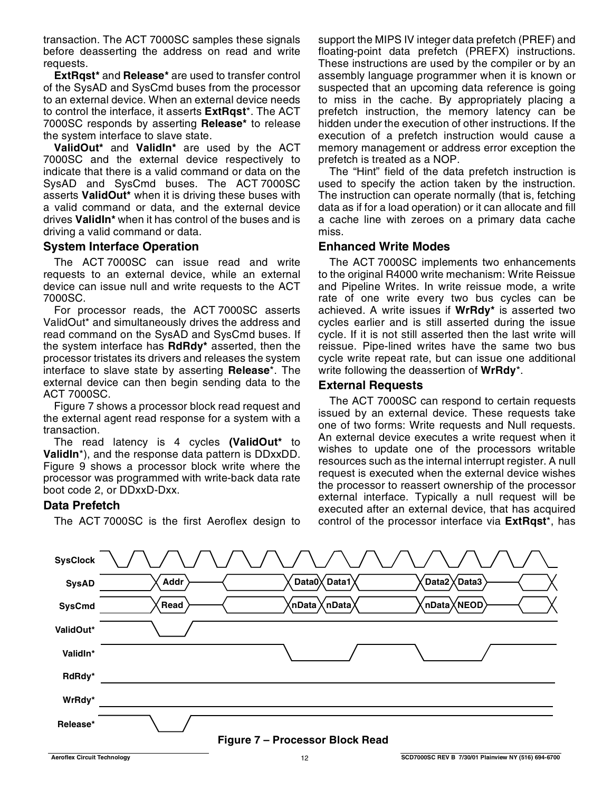transaction. The ACT 7000SC samples these signals before deasserting the address on read and write requests.

**ExtRqst\*** and **Release\*** are used to transfer control of the SysAD and SysCmd buses from the processor to an external device. When an external device needs to control the interface, it asserts **ExtRqst**\*. The ACT 7000SC responds by asserting **Release\*** to release the system interface to slave state.

**ValidOut\*** and **ValidIn\*** are used by the ACT 7000SC and the external device respectively to indicate that there is a valid command or data on the SysAD and SysCmd buses. The ACT 7000SC asserts **ValidOut\*** when it is driving these buses with a valid command or data, and the external device drives **ValidIn\*** when it has control of the buses and is driving a valid command or data.

#### **System Interface Operation**

The ACT 7000SC can issue read and write requests to an external device, while an external device can issue null and write requests to the ACT 7000SC.

For processor reads, the ACT 7000SC asserts ValidOut\* and simultaneously drives the address and read command on the SysAD and SysCmd buses. If the system interface has **RdRdy\*** asserted, then the processor tristates its drivers and releases the system interface to slave state by asserting **Release**\*. The external device can then begin sending data to the ACT 7000SC.

Figure 7 shows a processor block read request and the external agent read response for a system with a transaction.

The read latency is 4 cycles **(ValidOut\*** to **ValidIn**\*), and the response data pattern is DDxxDD. Figure 9 shows a processor block write where the processor was programmed with write-back data rate boot code 2, or DDxxD-Dxx.

#### **Data Prefetch**

The ACT 7000SC is the first Aeroflex design to

support the MIPS IV integer data prefetch (PREF) and floating-point data prefetch (PREFX) instructions. These instructions are used by the compiler or by an assembly language programmer when it is known or suspected that an upcoming data reference is going to miss in the cache. By appropriately placing a prefetch instruction, the memory latency can be hidden under the execution of other instructions. If the execution of a prefetch instruction would cause a memory management or address error exception the prefetch is treated as a NOP.

The "Hint" field of the data prefetch instruction is used to specify the action taken by the instruction. The instruction can operate normally (that is, fetching data as if for a load operation) or it can allocate and fill a cache line with zeroes on a primary data cache miss.

#### **Enhanced Write Modes**

The ACT 7000SC implements two enhancements to the original R4000 write mechanism: Write Reissue and Pipeline Writes. In write reissue mode, a write rate of one write every two bus cycles can be achieved. A write issues if **WrRdy\*** is asserted two cycles earlier and is still asserted during the issue cycle. If it is not still asserted then the last write will reissue. Pipe-lined writes have the same two bus cycle write repeat rate, but can issue one additional write following the deassertion of **WrRdy**\*.

#### **External Requests**

The ACT 7000SC can respond to certain requests issued by an external device. These requests take one of two forms: Write requests and Null requests. An external device executes a write request when it wishes to update one of the processors writable resources such as the internal interrupt register. A null request is executed when the external device wishes the processor to reassert ownership of the processor external interface. Typically a null request will be executed after an external device, that has acquired control of the processor interface via **ExtRqst**\*, has

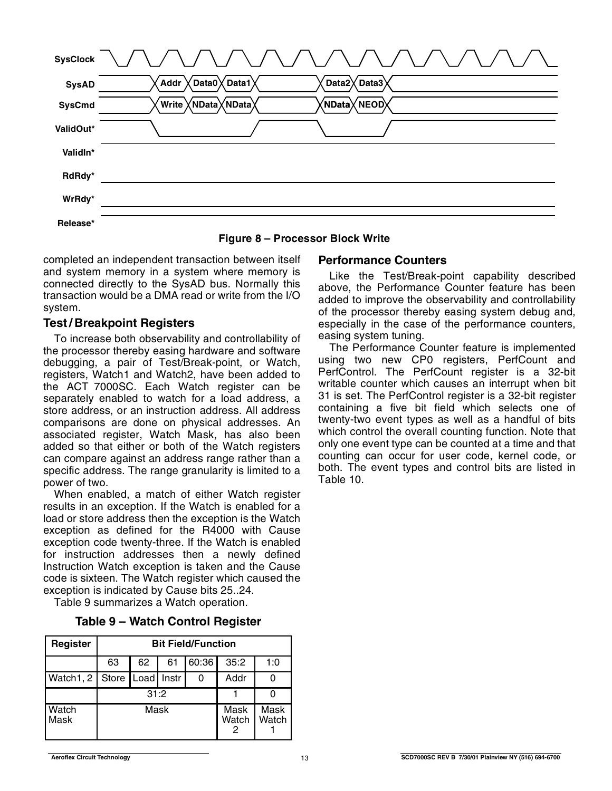| <b>SysClock</b> | \/\/\/\/\/\/\/\/\/\/\/\                                      |
|-----------------|--------------------------------------------------------------|
| <b>SysAD</b>    | Data3<br>Data1<br>Data2 $\chi$<br>Addr<br>Data0 $\chi$       |
| <b>SysCmd</b>   | $\langle$ NData $\chi$ NEOD $\rangle$<br>Write XNData XNData |
| ValidOut*       |                                                              |
| ValidIn*        |                                                              |
| RdRdy*          |                                                              |
| WrRdy*          |                                                              |
| Release*        |                                                              |

**Figure 8 – Processor Block Write**

completed an independent transaction between itself and system memory in a system where memory is connected directly to the SysAD bus. Normally this transaction would be a DMA read or write from the I/O system.

### **Test / Breakpoint Registers**

To increase both observability and controllability of the processor thereby easing hardware and software debugging, a pair of Test/Break-point, or Watch, registers, Watch1 and Watch2, have been added to the ACT 7000SC. Each Watch register can be separately enabled to watch for a load address, a store address, or an instruction address. All address comparisons are done on physical addresses. An associated register, Watch Mask, has also been added so that either or both of the Watch registers can compare against an address range rather than a specific address. The range granularity is limited to a power of two.

When enabled, a match of either Watch register results in an exception. If the Watch is enabled for a load or store address then the exception is the Watch exception as defined for the R4000 with Cause exception code twenty-three. If the Watch is enabled for instruction addresses then a newly defined Instruction Watch exception is taken and the Cause code is sixteen. The Watch register which caused the exception is indicated by Cause bits 25..24.

Table 9 summarizes a Watch operation.

|  |  |  | Table 9 - Watch Control Register |
|--|--|--|----------------------------------|
|--|--|--|----------------------------------|

| Register                         | <b>Bit Field/Function</b> |      |               |               |      |     |
|----------------------------------|---------------------------|------|---------------|---------------|------|-----|
|                                  | 63                        | 62   | 61            | 60:36         | 35:2 | 1:0 |
| Watch1, 2   Store   Load   Instr |                           |      |               |               | Addr |     |
|                                  |                           | 31:2 |               |               |      |     |
| Watch<br>Mask                    |                           | Mask | Mask<br>Watch | Mask<br>Watch |      |     |

#### **Performance Counters**

Like the Test/Break-point capability described above, the Performance Counter feature has been added to improve the observability and controllability of the processor thereby easing system debug and, especially in the case of the performance counters, easing system tuning.

The Performance Counter feature is implemented using two new CP0 registers, PerfCount and PerfControl. The PerfCount register is a 32-bit writable counter which causes an interrupt when bit 31 is set. The PerfControl register is a 32-bit register containing a five bit field which selects one of twenty-two event types as well as a handful of bits which control the overall counting function. Note that only one event type can be counted at a time and that counting can occur for user code, kernel code, or both. The event types and control bits are listed in Table 10.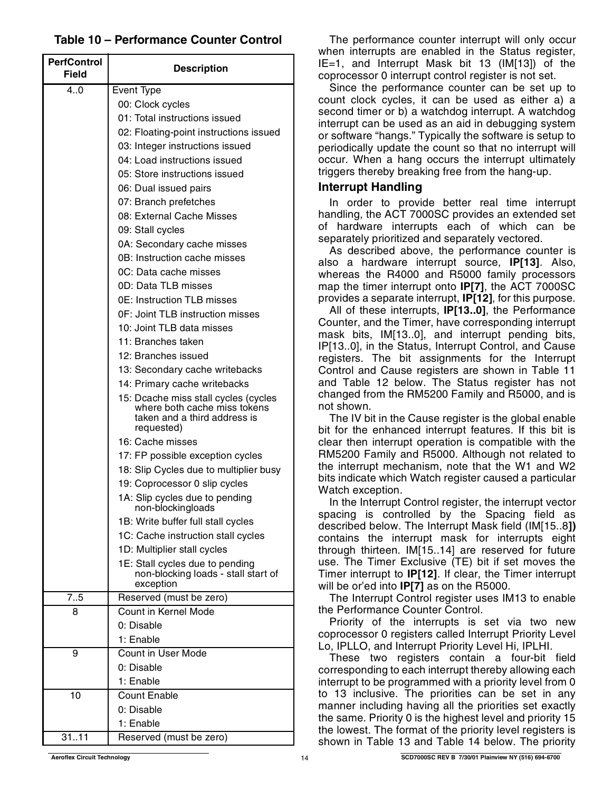### **Table 10 – Performance Counter Control**

| <b>PerfControl</b><br><b>Field</b> | <b>Description</b>                                                                                                 |
|------------------------------------|--------------------------------------------------------------------------------------------------------------------|
| 4.0                                | Event Type                                                                                                         |
|                                    | 00: Clock cycles                                                                                                   |
|                                    | 01: Total instructions issued                                                                                      |
|                                    | 02: Floating-point instructions issued                                                                             |
|                                    | 03: Integer instructions issued                                                                                    |
|                                    | 04: Load instructions issued                                                                                       |
|                                    | 05: Store instructions issued                                                                                      |
|                                    | 06: Dual issued pairs                                                                                              |
|                                    | 07: Branch prefetches                                                                                              |
|                                    | 08: External Cache Misses                                                                                          |
|                                    | 09: Stall cycles                                                                                                   |
|                                    | 0A: Secondary cache misses                                                                                         |
|                                    | 0B: Instruction cache misses                                                                                       |
|                                    |                                                                                                                    |
|                                    | OC: Data cache misses                                                                                              |
|                                    | 0D: Data TLB misses                                                                                                |
|                                    | 0E: Instruction TLB misses                                                                                         |
|                                    | 0F: Joint TLB instruction misses                                                                                   |
|                                    | 10: Joint TLB data misses                                                                                          |
|                                    | 11: Branches taken                                                                                                 |
|                                    | 12: Branches issued                                                                                                |
|                                    | 13: Secondary cache writebacks                                                                                     |
|                                    | 14: Primary cache writebacks                                                                                       |
|                                    | 15: Dcache miss stall cycles (cycles<br>where both cache miss tokens<br>taken and a third address is<br>requested) |
|                                    | 16: Cache misses                                                                                                   |
|                                    | 17: FP possible exception cycles                                                                                   |
|                                    | 18: Slip Cycles due to multiplier busy                                                                             |
|                                    | 19: Coprocessor 0 slip cycles                                                                                      |
|                                    | 1A: Slip cycles due to pending<br>non-blockingloads                                                                |
|                                    | 1B: Write buffer full stall cycles                                                                                 |
|                                    | 1C: Cache instruction stall cycles                                                                                 |
|                                    | 1D: Multiplier stall cycles                                                                                        |
|                                    | 1E: Stall cycles due to pending<br>non-blocking loads - stall start of<br>exception                                |
| 7.5                                | Reserved (must be zero)                                                                                            |
| 8                                  | Count in Kernel Mode                                                                                               |
|                                    | 0: Disable                                                                                                         |
|                                    | 1: Enable                                                                                                          |
| 9                                  | Count in User Mode                                                                                                 |
|                                    | 0: Disable                                                                                                         |
|                                    | 1: Enable                                                                                                          |
| 10                                 | Count Enable                                                                                                       |
|                                    | 0: Disable                                                                                                         |
|                                    | 1: Enable                                                                                                          |
| 31.11                              | Reserved (must be zero)                                                                                            |

The performance counter interrupt will only occur when interrupts are enabled in the Status register. IE=1, and Interrupt Mask bit 13 (IM[13]) of the coprocessor 0 interrupt control register is not set.

Since the performance counter can be set up to count clock cycles, it can be used as either a) a second timer or b) a watchdog interrupt. A watchdog interrupt can be used as an aid in debugging system or software "hangs." Typically the software is setup to periodically update the count so that no interrupt will occur. When a hang occurs the interrupt ultimately triggers thereby breaking free from the hang-up.

#### **Interrupt Handling**

In order to provide better real time interrupt handling, the ACT 7000SC provides an extended set of hardware interrupts each of which can be separately prioritized and separately vectored.

As described above, the performance counter is also a hardware interrupt source, **IP[13]**. Also, whereas the R4000 and R5000 family processors map the timer interrupt onto **IP[7]**, the ACT 7000SC provides a separate interrupt, **IP[12]**, for this purpose.

All of these interrupts, **IP[13..0]**, the Performance Counter, and the Timer, have corresponding interrupt mask bits, IM[13..0], and interrupt pending bits, IP[13..0], in the Status, Interrupt Control, and Cause registers. The bit assignments for the Interrupt Control and Cause registers are shown in Table 11 and Table 12 below. The Status register has not changed from the RM5200 Family and R5000, and is not shown.

The IV bit in the Cause register is the global enable bit for the enhanced interrupt features. If this bit is clear then interrupt operation is compatible with the RM5200 Family and R5000. Although not related to the interrupt mechanism, note that the W1 and W2 bits indicate which Watch register caused a particular Watch exception.

In the Interrupt Control register, the interrupt vector spacing is controlled by the Spacing field as described below. The Interrupt Mask field (IM[15..8**])** contains the interrupt mask for interrupts eight through thirteen. IM[15..14] are reserved for future use. The Timer Exclusive (TE) bit if set moves the Timer interrupt to **IP[12]**. If clear, the Timer interrupt will be or'ed into **IP[7]** as on the R5000.

The Interrupt Control register uses IM13 to enable the Performance Counter Control.

Priority of the interrupts is set via two new coprocessor 0 registers called Interrupt Priority Level Lo, IPLLO, and Interrupt Priority Level Hi, IPLHI.

These two registers contain a four-bit field corresponding to each interrupt thereby allowing each interrupt to be programmed with a priority level from 0 to 13 inclusive. The priorities can be set in any manner including having all the priorities set exactly the same. Priority 0 is the highest level and priority 15 the lowest. The format of the priority level registers is shown in Table 13 and Table 14 below. The priority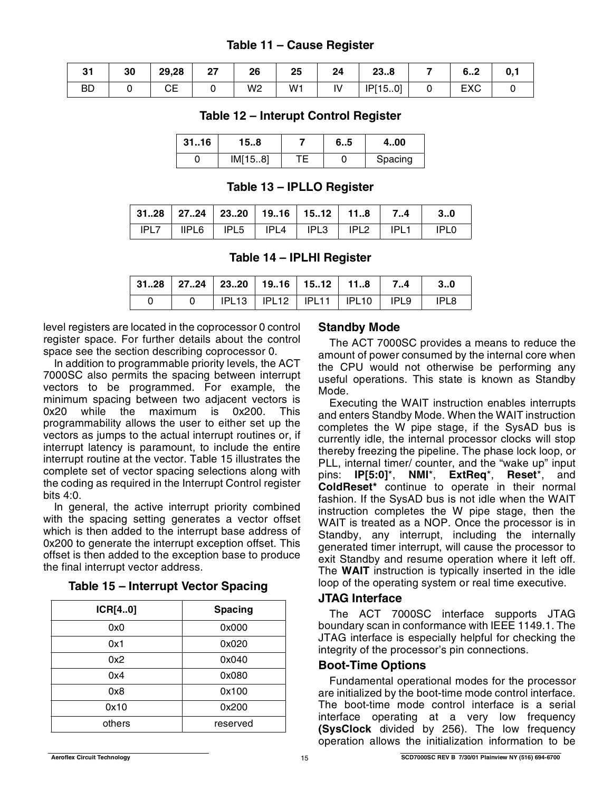## **Table 11 – Cause Register**

| $\sim$<br>uı | 30 | 29,28    | ^7<br>" | 26             | 25 | 24 | מה<br>هد∠ |   | c<br>ס…∠          |  |
|--------------|----|----------|---------|----------------|----|----|-----------|---|-------------------|--|
| <b>BD</b>    |    | rΕ<br>◡∟ |         | W <sub>2</sub> | W1 | IV | IP[150]   | ັ | <b>EVO</b><br>ᄃᄉᇰ |  |

### **Table 12 – Interupt Control Register**

| 3116 | 158     | 6.5 | 400     |
|------|---------|-----|---------|
|      | IM[158] |     | Spacing |

### **Table 13 – IPLLO Register**

| $\vert$ 3128 $\vert$ 2724 $\vert$ 2320 $\vert$ 1916 $\vert$ 1512 $\vert$ 118 $\vert$ 74 $\vert$ |  |                                                                        |  | - 30 |
|-------------------------------------------------------------------------------------------------|--|------------------------------------------------------------------------|--|------|
|                                                                                                 |  | $IPL7$   $IIPLG$   $IPL5$   $IPL4$   $IPL3$   $IPL2$   $IPL1$   $IPL0$ |  |      |

### **Table 14 – IPLHI Register**

|  | 3128   2724   2320   1916   1512   118    74     30 |  |  |      |
|--|-----------------------------------------------------|--|--|------|
|  | IPL13   IPL12   IPL11   IPL10   IPL9                |  |  | IPL8 |

level registers are located in the coprocessor 0 control register space. For further details about the control space see the section describing coprocessor 0.

In addition to programmable priority levels, the ACT 7000SC also permits the spacing between interrupt vectors to be programmed. For example, the minimum spacing between two adjacent vectors is 0x20 while the maximum is 0x200. This programmability allows the user to either set up the vectors as jumps to the actual interrupt routines or, if interrupt latency is paramount, to include the entire interrupt routine at the vector. Table 15 illustrates the complete set of vector spacing selections along with the coding as required in the Interrupt Control register bits 4:0.

In general, the active interrupt priority combined with the spacing setting generates a vector offset which is then added to the interrupt base address of 0x200 to generate the interrupt exception offset. This offset is then added to the exception base to produce the final interrupt vector address.

| ICR[40] | <b>Spacing</b> |
|---------|----------------|
| 0x0     | 0x000          |
| 0x1     | 0x020          |
| 0x2     | 0x040          |
| 0x4     | 0x080          |
| 0x8     | 0x100          |
| 0x10    | 0x200          |
| others  | reserved       |

#### **Table 15 – Interrupt Vector Spacing**

## **Standby Mode**

The ACT 7000SC provides a means to reduce the amount of power consumed by the internal core when the CPU would not otherwise be performing any useful operations. This state is known as Standby Mode.

Executing the WAIT instruction enables interrupts and enters Standby Mode. When the WAIT instruction completes the W pipe stage, if the SysAD bus is currently idle, the internal processor clocks will stop thereby freezing the pipeline. The phase lock loop, or PLL, internal timer/ counter, and the "wake up" input pins: **IP[5:0]**\*, **NMI**\*, **ExtReq**\*, **Reset**\*, and **ColdReset\*** continue to operate in their normal fashion. If the SysAD bus is not idle when the WAIT instruction completes the W pipe stage, then the WAIT is treated as a NOP. Once the processor is in Standby, any interrupt, including the internally generated timer interrupt, will cause the processor to exit Standby and resume operation where it left off. The **WAIT** instruction is typically inserted in the idle loop of the operating system or real time executive.

#### **JTAG Interface**

The ACT 7000SC interface supports JTAG boundary scan in conformance with IEEE 1149.1. The JTAG interface is especially helpful for checking the integrity of the processor's pin connections.

### **Boot-Time Options**

Fundamental operational modes for the processor are initialized by the boot-time mode control interface. The boot-time mode control interface is a serial interface operating at a very low frequency **(SysClock** divided by 256). The low frequency operation allows the initialization information to be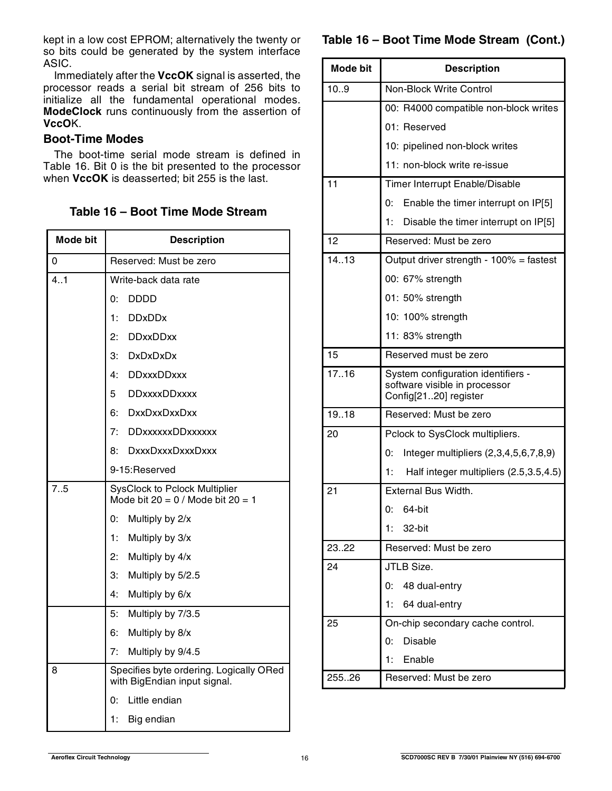kept in a low cost EPROM; alternatively the twenty or so bits could be generated by the system interface ASIC.

Immediately after the **VccOK** signal is asserted, the processor reads a serial bit stream of 256 bits to initialize all the fundamental operational modes. **ModeClock** runs continuously from the assertion of **VccO**K.

### **Boot-Time Modes**

The boot-time serial mode stream is defined in Table 16. Bit 0 is the bit presented to the processor when **VccOK** is deasserted; bit 255 is the last.

### **Table 16 – Boot Time Mode Stream**

| <b>Mode bit</b> | <b>Description</b>                                                            |
|-----------------|-------------------------------------------------------------------------------|
| 0               | Reserved: Must be zero                                                        |
| 4.1             | Write-back data rate                                                          |
|                 | <b>DDDD</b><br>0:                                                             |
|                 | <b>DDxDDx</b><br>1:                                                           |
|                 | 2:<br><b>DDxxDDxx</b>                                                         |
|                 | 3:<br><b>DxDxDxDx</b>                                                         |
|                 | 4:<br><b>DDxxxDDxxx</b>                                                       |
|                 | 5<br><b>DDxxxxDDxxxx</b>                                                      |
|                 | <b>DxxDxxDxxDxx</b><br>6:                                                     |
|                 | 7:<br><b>DDxxxxxxDDxxxxxx</b>                                                 |
|                 | DxxxDxxxDxxxDxxx<br>8:                                                        |
|                 | 9-15:Reserved                                                                 |
| 7.5             | <b>SysClock to Pclock Multiplier</b><br>Mode bit $20 = 0$ / Mode bit $20 = 1$ |
|                 | 0.<br>Multiply by 2/x                                                         |
|                 | 1:<br>Multiply by 3/x                                                         |
|                 | 2:<br>Multiply by 4/x                                                         |
|                 | 3:<br>Multiply by 5/2.5                                                       |
|                 | 4:<br>Multiply by 6/x                                                         |
|                 | 5:<br>Multiply by 7/3.5                                                       |
|                 | 6:<br>Multiply by 8/x                                                         |
|                 | 7:<br>Multiply by 9/4.5                                                       |
| 8               | Specifies byte ordering. Logically ORed<br>with BigEndian input signal.       |
|                 | Little endian<br>0:                                                           |
|                 | 1:<br>Big endian                                                              |

## **Table 16 – Boot Time Mode Stream (Cont.)**

| <b>Mode bit</b> | <b>Description</b>                                                                           |
|-----------------|----------------------------------------------------------------------------------------------|
| 10.9            | <b>Non-Block Write Control</b>                                                               |
|                 | 00: R4000 compatible non-block writes                                                        |
|                 | 01: Reserved                                                                                 |
|                 | 10: pipelined non-block writes                                                               |
|                 | 11: non-block write re-issue                                                                 |
| 11              | Timer Interrupt Enable/Disable                                                               |
|                 | 0:<br>Enable the timer interrupt on IP[5]                                                    |
|                 | 1:<br>Disable the timer interrupt on IP[5]                                                   |
| 12              | Reserved: Must be zero                                                                       |
| 14.13           | Output driver strength - 100% = fastest                                                      |
|                 | 00: 67% strength                                                                             |
|                 | 01: 50% strength                                                                             |
|                 | 10: 100% strength                                                                            |
|                 | 11: 83% strength                                                                             |
| 15              | Reserved must be zero                                                                        |
| 17.16           | System configuration identifiers -<br>software visible in processor<br>Config[2120] register |
| 19.18           | Reserved: Must be zero                                                                       |
| 20              | Pclock to SysClock multipliers.                                                              |
|                 | 0:<br>Integer multipliers (2,3,4,5,6,7,8,9)                                                  |
|                 | 1:<br>Half integer multipliers (2.5,3.5,4.5)                                                 |
| 21              | External Bus Width.                                                                          |
|                 | 64-bit<br>0:                                                                                 |
|                 | 32-bit<br>1:                                                                                 |
| 23.22           | Reserved: Must be zero                                                                       |
| 24              | JTLB Size.                                                                                   |
|                 | 48 dual-entry<br>0:                                                                          |
|                 | 1:<br>64 dual-entry                                                                          |
| 25              | On-chip secondary cache control.                                                             |
|                 | <b>Disable</b><br>0:                                                                         |
|                 | 1:<br>Enable                                                                                 |
| 25526           | Reserved: Must be zero                                                                       |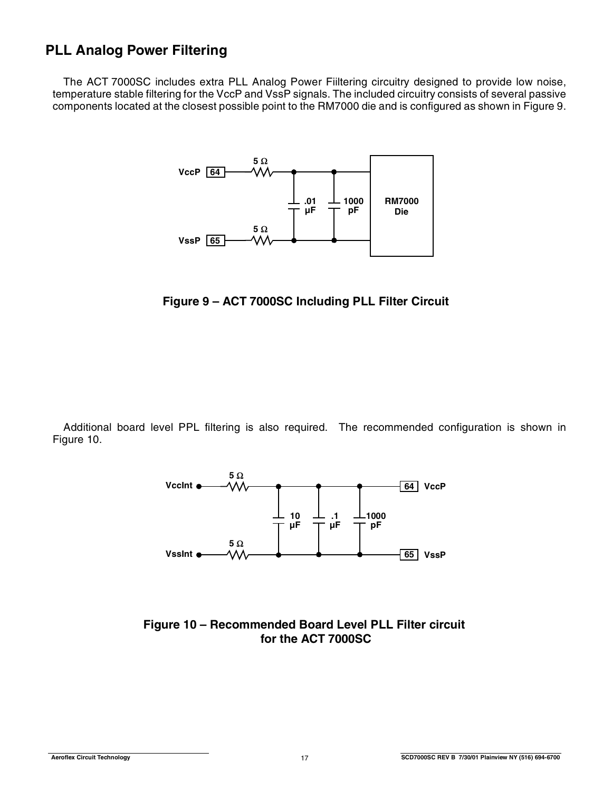# **PLL Analog Power Filtering**

The ACT 7000SC includes extra PLL Analog Power Fiiltering circuitry designed to provide low noise, temperature stable filtering for the VccP and VssP signals. The included circuitry consists of several passive components located at the closest possible point to the RM7000 die and is configured as shown in Figure 9.



**Figure 9 – ACT 7000SC Including PLL Filter Circuit**

Additional board level PPL filtering is also required. The recommended configuration is shown in Figure 10.



**Figure 10 – Recommended Board Level PLL Filter circuit for the ACT 7000SC**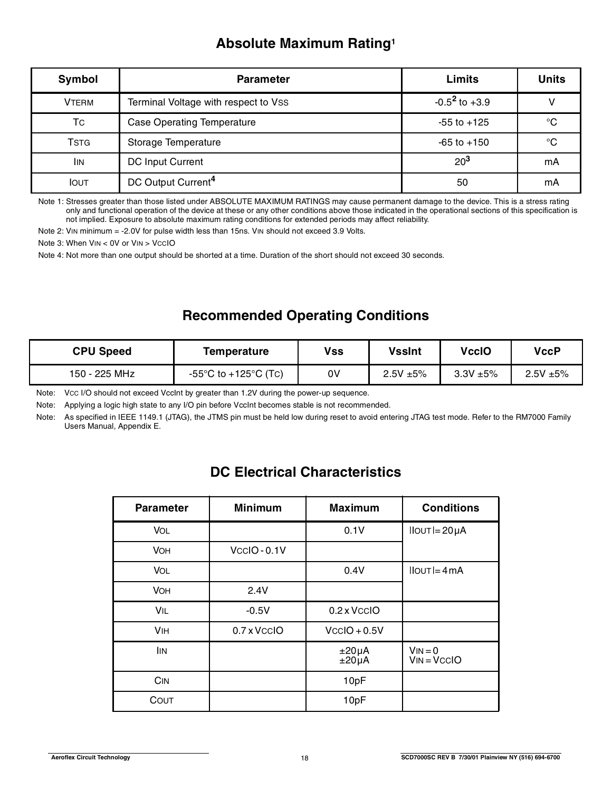# **Absolute Maximum Rating1**

| Symbol       | <b>Parameter</b>                     | Limits             | <b>Units</b> |
|--------------|--------------------------------------|--------------------|--------------|
| <b>VTERM</b> | Terminal Voltage with respect to VSS | $-0.5^2$ to $+3.9$ |              |
| Тc           | <b>Case Operating Temperature</b>    | $-55$ to $+125$    | °C           |
| <b>TSTG</b>  | Storage Temperature                  | $-65$ to $+150$    | °C           |
| <b>IIN</b>   | <b>DC Input Current</b>              | $20^{3}$           | mA           |
| <b>IOUT</b>  | DC Output Current <sup>4</sup>       | 50                 | mA           |

Note 1: Stresses greater than those listed under ABSOLUTE MAXIMUM RATINGS may cause permanent damage to the device. This is a stress rating only and functional operation of the device at these or any other conditions above those indicated in the operational sections of this specification is not implied. Exposure to absolute maximum rating conditions for extended periods may affect reliability.

Note 2: VIN minimum = -2.0V for pulse width less than 15ns. VIN should not exceed 3.9 Volts.

Note 3: When VIN < 0V or VIN > VCCIO

Note 4: Not more than one output should be shorted at a time. Duration of the short should not exceed 30 seconds.

# **Recommended Operating Conditions**

| <b>CPU Speed</b> | Temperature          | <b>Vss</b> | <b>VssInt</b> | VccIO             | VccP              |
|------------------|----------------------|------------|---------------|-------------------|-------------------|
| 150 - 225 MHz    | -55°C to +125°C (Tc) | 0V         | $2.5V + 5%$   | $3.3$ V $\pm 5\%$ | $2.5$ V $\pm 5\%$ |

Note: VCC I/O should not exceed VccInt by greater than 1.2V during the power-up sequence.

Note: Applying a logic high state to any I/O pin before VccInt becomes stable is not recommended.

Note: As specified in IEEE 1149.1 (JTAG), the JTMS pin must be held low during reset to avoid entering JTAG test mode. Refer to the RM7000 Family Users Manual, Appendix E.

# **DC Electrical Characteristics**

| <b>Parameter</b> | <b>Minimum</b> | <b>Maximum</b>           | <b>Conditions</b>          |
|------------------|----------------|--------------------------|----------------------------|
| VOL              |                | 0.1V                     | $IIOUTI = 20 \mu A$        |
| <b>VOH</b>       | VccIO-0.1V     |                          |                            |
| <b>VOL</b>       |                | 0.4V                     | $IIOUT = 4mA$              |
| <b>VOH</b>       | 2.4V           |                          |                            |
| VIL              | $-0.5V$        | 0.2 x VccIO              |                            |
| <b>VIH</b>       | 0.7 x VccIO    | $VccIO + 0.5V$           |                            |
| <b>IIN</b>       |                | $±20\mu A$<br>$±20\mu A$ | $VIN = 0$<br>$VIN = VCCIO$ |
| C <sub>IN</sub>  |                | 10pF                     |                            |
| COUT             |                | 10pF                     |                            |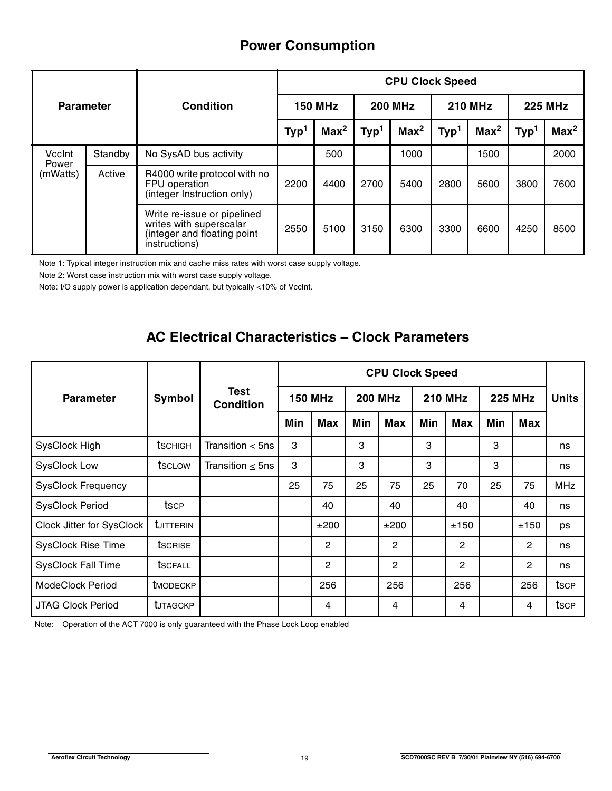# **Power Consumption**

|                             |         |                                                                                                        | <b>CPU Clock Speed</b> |                  |                  |                  |                  |                  |                  |                  |  |  |
|-----------------------------|---------|--------------------------------------------------------------------------------------------------------|------------------------|------------------|------------------|------------------|------------------|------------------|------------------|------------------|--|--|
| <b>Parameter</b>            |         | Condition                                                                                              |                        | <b>150 MHz</b>   |                  | <b>200 MHz</b>   |                  | <b>210 MHz</b>   |                  | <b>225 MHz</b>   |  |  |
|                             |         |                                                                                                        | Typ <sup>1</sup>       | Max <sup>2</sup> | Typ <sup>1</sup> | Max <sup>2</sup> | Typ <sup>1</sup> | Max <sup>2</sup> | Typ <sup>1</sup> | Max <sup>2</sup> |  |  |
| VccInt                      | Standby | No SysAD bus activity                                                                                  |                        | 500              |                  | 1000             |                  | 1500             |                  | 2000             |  |  |
| Power<br>Active<br>(mWatts) |         | R4000 write protocol with no<br>FPU operation<br>(integer Instruction only)                            | 2200                   | 4400             | 2700             | 5400             | 2800             | 5600             | 3800             | 7600             |  |  |
|                             |         | Write re-issue or pipelined<br>writes with superscalar<br>(integer and floating point<br>instructions) | 2550                   | 5100             | 3150             | 6300             | 3300             | 6600             | 4250             | 8500             |  |  |

Note 1: Typical integer instruction mix and cache miss rates with worst case supply voltage.

Note 2: Worst case instruction mix with worst case supply voltage.

Note: I/O supply power is application dependant, but typically <10% of VccInt.

# **AC Electrical Characteristics – Clock Parameters**

|                           |                  |                                 | <b>CPU Clock Speed</b> |                |     |                |     |                |     |                |              |
|---------------------------|------------------|---------------------------------|------------------------|----------------|-----|----------------|-----|----------------|-----|----------------|--------------|
| <b>Parameter</b>          | Symbol           | <b>Test</b><br><b>Condition</b> |                        | <b>150 MHz</b> |     | <b>200 MHz</b> |     | <b>210 MHz</b> |     | <b>225 MHz</b> | <b>Units</b> |
|                           |                  |                                 | Min                    | <b>Max</b>     | Min | <b>Max</b>     | Min | Max            | Min | <b>Max</b>     |              |
| SysClock High             | tschigh          | Transition $\leq$ 5ns           | 3                      |                | 3   |                | 3   |                | 3   |                | ns           |
| <b>SysClock Low</b>       | tsc∟ow           | Transition $\leq$ 5ns           | 3                      |                | 3   |                | 3   |                | 3   |                | ns           |
| <b>SysClock Frequency</b> |                  |                                 | 25                     | 75             | 25  | 75             | 25  | 70             | 25  | 75             | <b>MHz</b>   |
| <b>SysClock Period</b>    | tsce             |                                 |                        | 40             |     | 40             |     | 40             |     | 40             | ns           |
| Clock Jitter for SysClock | <b>UITTERIN</b>  |                                 |                        | ±200           |     | ±200           |     | ±150           |     | ±150           | ps           |
| <b>SysClock Rise Time</b> | <b>t</b> SCRISE  |                                 |                        | 2              |     | 2              |     | $\overline{2}$ |     | $\overline{2}$ | ns           |
| <b>SysClock Fall Time</b> | <b>t</b> SCFALL  |                                 |                        | 2              |     | 2              |     | $\overline{2}$ |     | $\overline{2}$ | ns           |
| <b>ModeClock Period</b>   | <b>t</b> MODECKP |                                 |                        | 256            |     | 256            |     | 256            |     | 256            | tsce         |
| <b>JTAG Clock Period</b>  | <b>UTAGCKP</b>   |                                 |                        | 4              |     | 4              |     | 4              |     | 4              | tsce         |

Note: Operation of the ACT 7000 is only guaranteed with the Phase Lock Loop enabled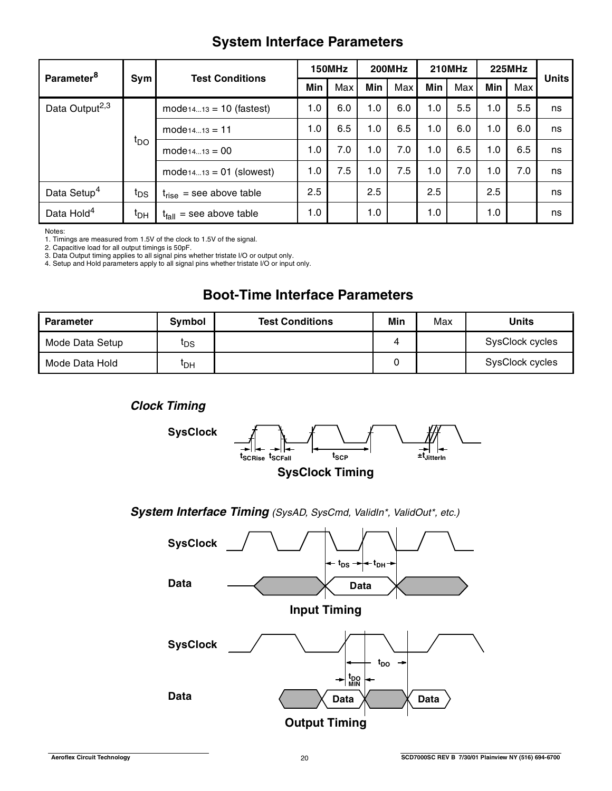# **System Interface Parameters**

| Parameter <sup>8</sup>     | <b>Test Conditions</b> |                               | 150MHz |     | <b>200MHz</b> |     | <b>210MHz</b> |     | <b>225MHz</b> |     | <b>Units</b> |
|----------------------------|------------------------|-------------------------------|--------|-----|---------------|-----|---------------|-----|---------------|-----|--------------|
|                            | Sym                    |                               | Min    | Max | Min           | Max | Min           | Max | Min           | Max |              |
| Data Output <sup>2,3</sup> |                        | $model_{1413} = 10$ (fastest) | 1.0    | 6.0 | 1.0           | 6.0 | 1.0           | 5.5 | 1.0           | 5.5 | ns           |
|                            |                        | $mode_{1413} = 11$            | 1.0    | 6.5 | 1.0           | 6.5 | 1.0           | 6.0 | 1.0           | 6.0 | ns           |
|                            | $t_{\text{DO}}$        | $mode_{1413} = 00$            | 1.0    | 7.0 | 1.0           | 7.0 | 1.0           | 6.5 | 1.0           | 6.5 | ns           |
|                            |                        | $model_{1413} = 01$ (slowest) | 1.0    | 7.5 | 1.0           | 7.5 | 1.0           | 7.0 | 1.0           | 7.0 | ns           |
| Data Setup <sup>4</sup>    | t <sub>DS</sub>        | $t_{rise}$ = see above table  | 2.5    |     | 2.5           |     | 2.5           |     | 2.5           |     | ns           |
| Data Hold <sup>4</sup>     | ι <sub>рн</sub>        | $t_{fall}$ = see above table  | 1.0    |     | 1.0           |     | 1.0           |     | 1.0           |     | ns           |

Notes:

1. Timings are measured from 1.5V of the clock to 1.5V of the signal.

2. Capacitive load for all output timings is 50pF. 3. Data Output timing applies to all signal pins whether tristate I/O or output only.

4. Setup and Hold parameters apply to all signal pins whether tristate I/O or input only.

# **Boot-Time Interface Parameters**

| <b>Parameter</b> | <b>Symbol</b>   | <b>Test Conditions</b> | Min | Max | Units           |
|------------------|-----------------|------------------------|-----|-----|-----------------|
| Mode Data Setup  | ւ <sub>DS</sub> |                        | 4   |     | SysClock cycles |
| Mode Data Hold   | ЧΩН             |                        |     |     | SysClock cycles |





### System Interface Timing (SysAD, SysCmd, ValidIn\*, ValidOut\*, etc.)

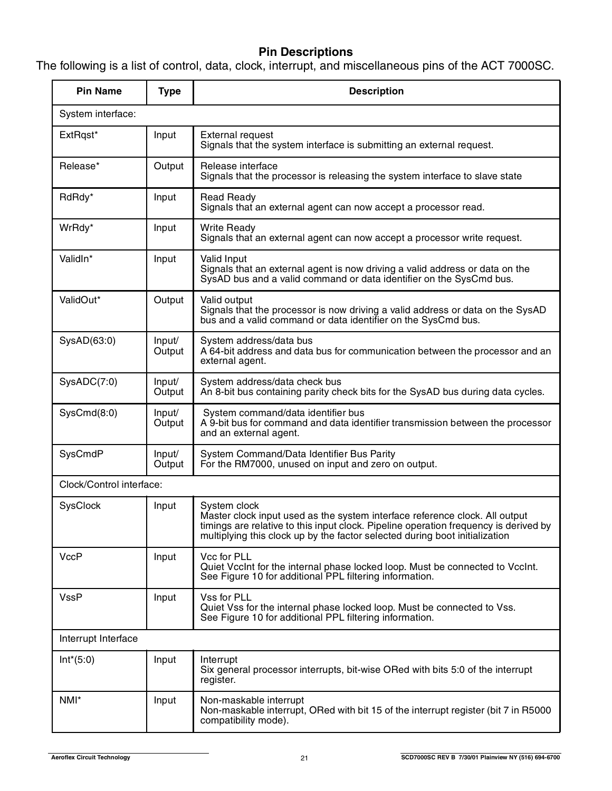## **Pin Descriptions**

The following is a list of control, data, clock, interrupt, and miscellaneous pins of the ACT 7000SC.

| <b>Pin Name</b>          | <b>Type</b>      | <b>Description</b>                                                                                                                                                                                                                                                 |
|--------------------------|------------------|--------------------------------------------------------------------------------------------------------------------------------------------------------------------------------------------------------------------------------------------------------------------|
| System interface:        |                  |                                                                                                                                                                                                                                                                    |
| ExtRqst*                 | Input            | <b>External request</b><br>Signals that the system interface is submitting an external request.                                                                                                                                                                    |
| Release*                 | Output           | Release interface<br>Signals that the processor is releasing the system interface to slave state                                                                                                                                                                   |
| RdRdy*                   | Input            | <b>Read Ready</b><br>Signals that an external agent can now accept a processor read.                                                                                                                                                                               |
| WrRdy*                   | Input            | <b>Write Ready</b><br>Signals that an external agent can now accept a processor write request.                                                                                                                                                                     |
| ValidIn*                 | Input            | Valid Input<br>Signals that an external agent is now driving a valid address or data on the<br>SysAD bus and a valid command or data identifier on the SysCmd bus.                                                                                                 |
| ValidOut*                | Output           | Valid output<br>Signals that the processor is now driving a valid address or data on the SysAD<br>bus and a valid command or data identifier on the SysCmd bus.                                                                                                    |
| SysAD(63:0)              | Input/<br>Output | System address/data bus<br>A 64-bit address and data bus for communication between the processor and an<br>external agent.                                                                                                                                         |
| SysADC(7:0)              | Input/<br>Output | System address/data check bus<br>An 8-bit bus containing parity check bits for the SysAD bus during data cycles.                                                                                                                                                   |
| SysCmd(8:0)              | Input/<br>Output | System command/data identifier bus<br>A 9-bit bus for command and data identifier transmission between the processor<br>and an external agent.                                                                                                                     |
| SysCmdP                  | Input/<br>Output | System Command/Data Identifier Bus Parity<br>For the RM7000, unused on input and zero on output.                                                                                                                                                                   |
| Clock/Control interface: |                  |                                                                                                                                                                                                                                                                    |
| SysClock                 | Input            | System clock<br>Master clock input used as the system interface reference clock. All output<br>timinas are relative to this input clock. Pipeline operation frequency is derived by<br>multiplying this clock up by the factor selected during boot initialization |
| <b>VccP</b>              | Input            | Vcc for PLL<br>Quiet VccInt for the internal phase locked loop. Must be connected to VccInt.<br>See Figure 10 for additional PPL filtering information.                                                                                                            |
| <b>VssP</b>              | Input            | Vss for PLL<br>Quiet Vss for the internal phase locked loop. Must be connected to Vss.<br>See Figure 10 for additional PPL filtering information.                                                                                                                  |
| Interrupt Interface      |                  |                                                                                                                                                                                                                                                                    |
| $Int*(5:0)$              | Input            | Interrupt<br>Six general processor interrupts, bit-wise ORed with bits 5:0 of the interrupt<br>register.                                                                                                                                                           |
| NMI*                     | Input            | Non-maskable interrupt<br>Non-maskable interrupt, ORed with bit 15 of the interrupt register (bit 7 in R5000<br>compatibility mode).                                                                                                                               |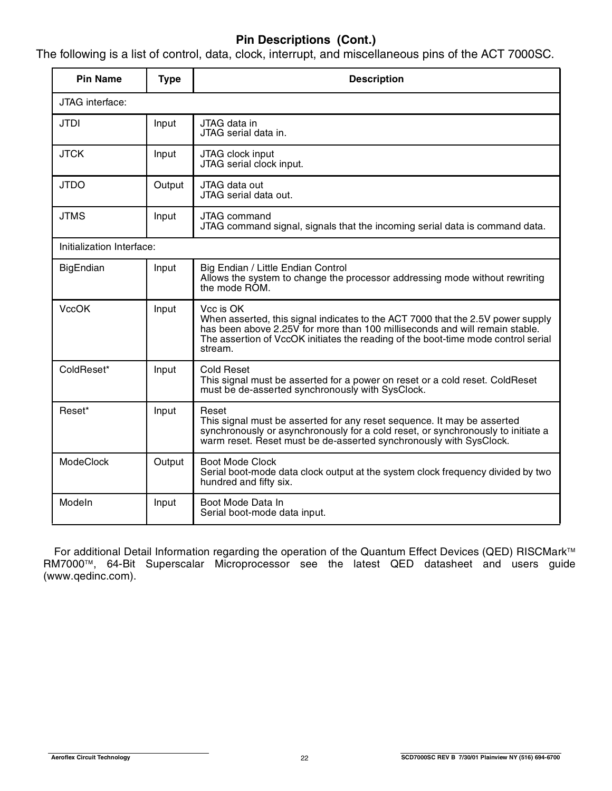## **Pin Descriptions (Cont.)**

The following is a list of control, data, clock, interrupt, and miscellaneous pins of the ACT 7000SC.

| <b>Pin Name</b>           | <b>Type</b> | <b>Description</b>                                                                                                                                                                                                                                                          |
|---------------------------|-------------|-----------------------------------------------------------------------------------------------------------------------------------------------------------------------------------------------------------------------------------------------------------------------------|
| JTAG interface:           |             |                                                                                                                                                                                                                                                                             |
| <b>JTDI</b>               | Input       | JTAG data in<br>JTAG serial data in.                                                                                                                                                                                                                                        |
| <b>JTCK</b>               | Input       | JTAG clock input<br>JTAG serial clock input.                                                                                                                                                                                                                                |
| <b>JTDO</b>               | Output      | JTAG data out<br>JTAG serial data out.                                                                                                                                                                                                                                      |
| <b>JTMS</b>               | Input       | <b>JTAG</b> command<br>JTAG command signal, signals that the incoming serial data is command data.                                                                                                                                                                          |
| Initialization Interface: |             |                                                                                                                                                                                                                                                                             |
| <b>BigEndian</b>          | Input       | Big Endian / Little Endian Control<br>Allows the system to change the processor addressing mode without rewriting<br>the mode ROM.                                                                                                                                          |
| <b>VccOK</b>              | Input       | Vcc is OK<br>When asserted, this signal indicates to the ACT 7000 that the 2.5V power supply<br>has been above 2.25V for more than 100 milliseconds and will remain stable.<br>The assertion of VccOK initiates the reading of the boot-time mode control serial<br>stream. |
| ColdReset*                | Input       | <b>Cold Reset</b><br>This signal must be asserted for a power on reset or a cold reset. ColdReset<br>must be de-asserted synchronously with SysClock.                                                                                                                       |
| Reset*                    | Input       | Reset<br>This signal must be asserted for any reset sequence. It may be asserted<br>synchronously or asynchronously for a cold reset, or synchronously to initiate a<br>warm reset. Reset must be de-asserted synchronously with SysClock.                                  |
| <b>ModeClock</b>          | Output      | Boot Mode Clock<br>Serial boot-mode data clock output at the system clock frequency divided by two<br>hundred and fifty six.                                                                                                                                                |
| Modeln                    | Input       | Boot Mode Data In<br>Serial boot-mode data input.                                                                                                                                                                                                                           |

For additional Detail Information regarding the operation of the Quantum Effect Devices (QED) RISCMark™ RM7000™, 64-Bit Superscalar Microprocessor see the latest QED datasheet and users guide (www.qedinc.com).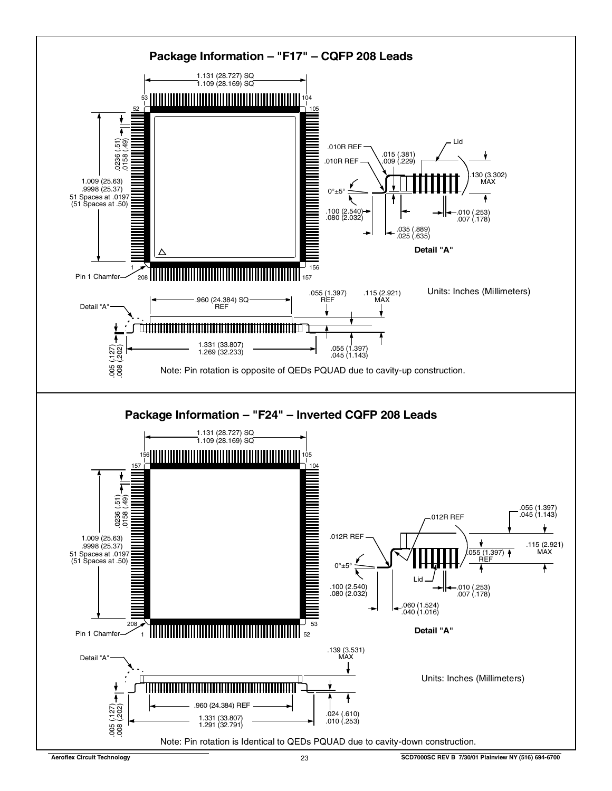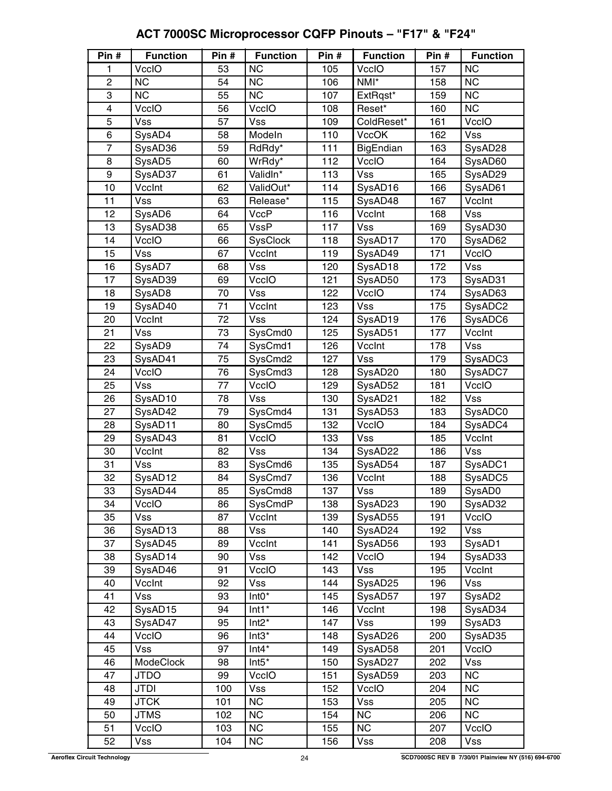| Pin #          | <b>Function</b> | Pin # | <b>Function</b>        | Pin # | <b>Function</b>  | Pin # | <b>Function</b>        |
|----------------|-----------------|-------|------------------------|-------|------------------|-------|------------------------|
| 1              | <b>VccIO</b>    | 53    | <b>NC</b>              | 105   | VccIO            | 157   | <b>NC</b>              |
| $\overline{c}$ | <b>NC</b>       | 54    | <b>NC</b>              | 106   | NMI*             | 158   | <b>NC</b>              |
| 3              | $\overline{NC}$ | 55    | $\overline{\text{NC}}$ | 107   | ExtRqst*         | 159   | <b>NC</b>              |
| 4              | VccIO           | 56    | VccIO                  | 108   | Reset*           | 160   | $\overline{\text{NC}}$ |
| 5              | <b>Vss</b>      | 57    | <b>Vss</b>             | 109   | ColdReset*       | 161   | VccIO                  |
| 6              | SysAD4          | 58    | Modeln                 | 110   | <b>VccOK</b>     | 162   | Vss                    |
| $\overline{7}$ | SysAD36         | 59    | RdRdy*                 | 111   | <b>BigEndian</b> | 163   | SysAD28                |
| 8              | SysAD5          | 60    | WrRdy*                 | 112   | VccIO            | 164   | SysAD60                |
| $\overline{9}$ | SysAD37         | 61    | ValidIn*               | 113   | Vss              | 165   | SysAD29                |
| 10             | VccInt          | 62    | ValidOut*              | 114   | SysAD16          | 166   | SysAD61                |
| 11             | <b>Vss</b>      | 63    | Release*               | 115   | SysAD48          | 167   | VccInt                 |
| 12             | SysAD6          | 64    | <b>VccP</b>            | 116   | VccInt           | 168   | <b>Vss</b>             |
| 13             | SysAD38         | 65    | <b>VssP</b>            | 117   | <b>Vss</b>       | 169   | SysAD30                |
| 14             | VccIO           | 66    | SysClock               | 118   | SysAD17          | 170   | SysAD62                |
| 15             | <b>Vss</b>      | 67    | VccInt                 | 119   | SysAD49          | 171   | VcclO                  |
| 16             | SysAD7          | 68    | <b>Vss</b>             | 120   | SysAD18          | 172   | <b>Vss</b>             |
| 17             | SysAD39         | 69    | VccIO                  | 121   | SysAD50          | 173   | SysAD31                |
| 18             | SysAD8          | 70    | <b>Vss</b>             | 122   | VccIO            | 174   | SysAD63                |
| 19             | SysAD40         | 71    | VccInt                 | 123   | <b>Vss</b>       | 175   | SysADC2                |
| 20             | VccInt          | 72    | <b>Vss</b>             | 124   | SysAD19          | 176   | SysADC6                |
| 21             | <b>Vss</b>      | 73    | SysCmd0                | 125   | SysAD51          | 177   | VccInt                 |
| 22             | SysAD9          | 74    | SysCmd1                | 126   | VccInt           | 178   | <b>Vss</b>             |
| 23             | SysAD41         | 75    | SysCmd2                | 127   | <b>Vss</b>       | 179   | SysADC3                |
| 24             | VccIO           | 76    | SysCmd3                | 128   | SysAD20          | 180   | SysADC7                |
| 25             | <b>Vss</b>      | 77    | VccIO                  | 129   | SysAD52          | 181   | VccIO                  |
| 26             | SysAD10         | 78    | <b>Vss</b>             | 130   | SysAD21          | 182   | <b>Vss</b>             |
| 27             | SysAD42         | 79    | SysCmd4                | 131   | SysAD53          | 183   | SysADC0                |
| 28             | SysAD11         | 80    | SysCmd5                | 132   | VccIO            | 184   | SysADC4                |
| 29             | SysAD43         | 81    | VccIO                  | 133   | <b>Vss</b>       | 185   | VccInt                 |
| 30             | VccInt          | 82    | <b>Vss</b>             | 134   | SysAD22          | 186   | <b>Vss</b>             |
| 31             | <b>Vss</b>      | 83    | SysCmd6                | 135   | SysAD54          | 187   | SysADC1                |
| 32             | SysAD12         | 84    | SysCmd7                | 136   | VccInt           | 188   | SysADC5                |
| 33             | SysAD44         | 85    | SysCmd8                | 137   | Vss              | 189   | SysAD0                 |
| 34             | VccIO           | 86    | SysCmdP                | 138   | SysAD23          | 190   | SysAD32                |
| 35             | Vss             | 87    | VccInt                 | 139   | SysAD55          | 191   | <b>VccIO</b>           |
| 36             | SysAD13         | 88    | Vss                    | 140   | SysAD24          | 192   | <b>Vss</b>             |
| 37             | SysAD45         | 89    | VccInt                 | 141   | SysAD56          | 193   | SysAD1                 |
| 38             | SysAD14         | 90    | Vss                    | 142   | VccIO            | 194   | SysAD33                |
| 39             | SysAD46         | 91    | VccIO                  | 143   | Vss              | 195   | VccInt                 |
| 40             | VccInt          | 92    | <b>Vss</b>             | 144   | SysAD25          | 196   | Vss                    |
| 41             | Vss             | 93    | $Int0*$                | 145   | SysAD57          | 197   | SysAD <sub>2</sub>     |
| 42             | SysAD15         | 94    | $Int1*$                | 146   | VccInt           | 198   | SysAD34                |
| 43             | SysAD47         | 95    | $Int2^*$               | 147   | Vss              | 199   | SysAD3                 |
| 44             | VccIO           | 96    | $Int3*$                | 148   | SysAD26          | 200   | SysAD35                |
| 45             | Vss             | 97    | $Int4*$                | 149   | SysAD58          | 201   | VccIO                  |
| 46             | ModeClock       | 98    | $Int5*$                | 150   | SysAD27          | 202   | <b>Vss</b>             |
| 47             | <b>JTDO</b>     | 99    | VccIO                  | 151   | SysAD59          | 203   | <b>NC</b>              |
| 48             | JTDI            | 100   | <b>Vss</b>             | 152   | VccIO            | 204   | <b>NC</b>              |
| 49             | <b>JTCK</b>     | 101   | NC                     | 153   | Vss              | 205   | <b>NC</b>              |
| 50             | <b>JTMS</b>     | 102   | NC                     | 154   | <b>NC</b>        | 206   | <b>NC</b>              |
| 51             | VccIO           | 103   | NC                     | 155   | <b>NC</b>        | 207   | VccIO                  |
| 52             | Vss             | 104   | <b>NC</b>              | 156   | Vss              | 208   | <b>Vss</b>             |

#### **ACT 7000SC Microprocessor CQFP Pinouts – "F17" & "F24"**  $\mathbb{R}^2$